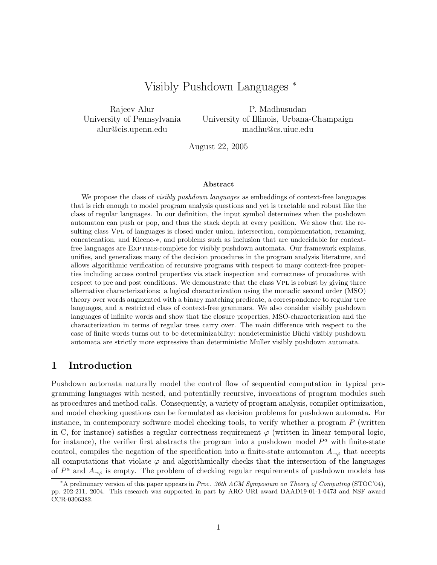# Visibly Pushdown Languages <sup>∗</sup>

Rajeev Alur University of Pennsylvania alur@cis.upenn.edu

P. Madhusudan University of Illinois, Urbana-Champaign madhu@cs.uiuc.edu

August 22, 2005

#### **Abstract**

We propose the class of *visibly pushdown languages* as embeddings of context-free languages that is rich enough to model program analysis questions and yet is tractable and robust like the class of regular languages. In our definition, the input symbol determines when the pushdown automaton can push or pop, and thus the stack depth at every position. We show that the resulting class Vpl of languages is closed under union, intersection, complementation, renaming, concatenation, and Kleene-∗, and problems such as inclusion that are undecidable for contextfree languages are Exptime-complete for visibly pushdown automata. Our framework explains, unifies, and generalizes many of the decision procedures in the program analysis literature, and allows algorithmic verification of recursive programs with respect to many context-free properties including access control properties via stack inspection and correctness of procedures with respect to pre and post conditions. We demonstrate that the class VPL is robust by giving three alternative characterizations: a logical characterization using the monadic second order (MSO) theory over words augmented with a binary matching predicate, a correspondence to regular tree languages, and a restricted class of context-free grammars. We also consider visibly pushdown languages of infinite words and show that the closure properties, MSO-characterization and the characterization in terms of regular trees carry over. The main difference with respect to the case of finite words turns out to be determinizability: nondeterministic Büchi visibly pushdown automata are strictly more expressive than deterministic Muller visibly pushdown automata.

## **1 Introduction**

Pushdown automata naturally model the control flow of sequential computation in typical programming languages with nested, and potentially recursive, invocations of program modules such as procedures and method calls. Consequently, a variety of program analysis, compiler optimization, and model checking questions can be formulated as decision problems for pushdown automata. For instance, in contemporary software model checking tools, to verify whether a program  $P$  (written in C, for instance) satisfies a regular correctness requirement  $\varphi$  (written in linear temporal logic, for instance), the verifier first abstracts the program into a pushdown model  $P^a$  with finite-state control, compiles the negation of the specification into a finite-state automaton  $A_{\neg\varphi}$  that accepts all computations that violate  $\varphi$  and algorithmically checks that the intersection of the languages of  $P^a$  and  $A_{\neg \varphi}$  is empty. The problem of checking regular requirements of pushdown models has

<sup>∗</sup>A preliminary version of this paper appears in Proc. 36th ACM Symposium on Theory of Computing (STOC'04), pp. 202-211, 2004. This research was supported in part by ARO URI award DAAD19-01-1-0473 and NSF award CCR-0306382.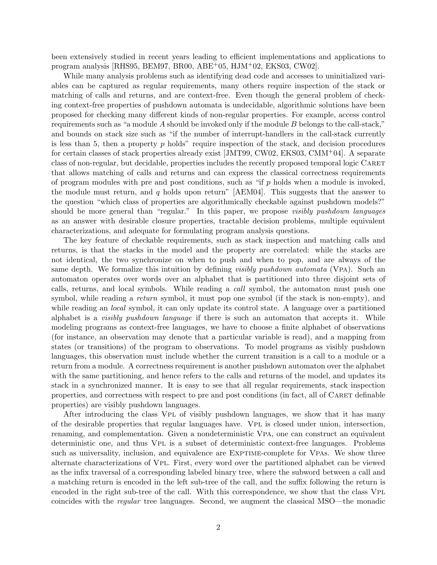been extensively studied in recent years leading to efficient implementations and applications to program analysis [RHS95, BEM97, BR00, ABE+05, HJM+02, EKS03, CW02].

While many analysis problems such as identifying dead code and accesses to uninitialized variables can be captured as regular requirements, many others require inspection of the stack or matching of calls and returns, and are context-free. Even though the general problem of checking context-free properties of pushdown automata is undecidable, algorithmic solutions have been proposed for checking many different kinds of non-regular properties. For example, access control requirements such as "a module  $A$  should be invoked only if the module  $B$  belongs to the call-stack," and bounds on stack size such as "if the number of interrupt-handlers in the call-stack currently is less than 5, then a property  $p$  holds" require inspection of the stack, and decision procedures for certain classes of stack properties already exist [JMT99, CW02, EKS03, CMM+04]. A separate class of non-regular, but decidable, properties includes the recently proposed temporal logic Caret that allows matching of calls and returns and can express the classical correctness requirements of program modules with pre and post conditions, such as "if  $p$  holds when a module is invoked, the module must return, and q holds upon return" [AEM04]. This suggests that the answer to the question "which class of properties are algorithmically checkable against pushdown models?" should be more general than "regular." In this paper, we propose *visibly pushdown languages* as an answer with desirable closure properties, tractable decision problems, multiple equivalent characterizations, and adequate for formulating program analysis questions.

The key feature of checkable requirements, such as stack inspection and matching calls and returns, is that the stacks in the model and the property are correlated: while the stacks are not identical, the two synchronize on when to push and when to pop, and are always of the same depth. We formalize this intuition by defining *visibly pushdown automata* (Vpa). Such an automaton operates over words over an alphabet that is partitioned into three disjoint sets of calls, returns, and local symbols. While reading a *call* symbol, the automaton must push one symbol, while reading a *return* symbol, it must pop one symbol (if the stack is non-empty), and while reading an *local* symbol, it can only update its control state. A language over a partitioned alphabet is a *visibly pushdown language* if there is such an automaton that accepts it. While modeling programs as context-free languages, we have to choose a finite alphabet of observations (for instance, an observation may denote that a particular variable is read), and a mapping from states (or transitions) of the program to observations. To model programs as visibly pushdown languages, this observation must include whether the current transition is a call to a module or a return from a module. A correctness requirement is another pushdown automaton over the alphabet with the same partitioning, and hence refers to the calls and returns of the model, and updates its stack in a synchronized manner. It is easy to see that all regular requirements, stack inspection properties, and correctness with respect to pre and post conditions (in fact, all of CARET definable properties) are visibly pushdown languages.

After introducing the class Vpl of visibly pushdown languages, we show that it has many of the desirable properties that regular languages have. Vpl is closed under union, intersection, renaming, and complementation. Given a nondeterministic Vpa, one can construct an equivalent deterministic one, and thus Vpl is a subset of deterministic context-free languages. Problems such as universality, inclusion, and equivalence are EXPTIME-complete for VPAs. We show three alternate characterizations of Vpl. First, every word over the partitioned alphabet can be viewed as the infix traversal of a corresponding labeled binary tree, where the subword between a call and a matching return is encoded in the left sub-tree of the call, and the suffix following the return is encoded in the right sub-tree of the call. With this correspondence, we show that the class Vpl coincides with the *regular* tree languages. Second, we augment the classical MSO—the monadic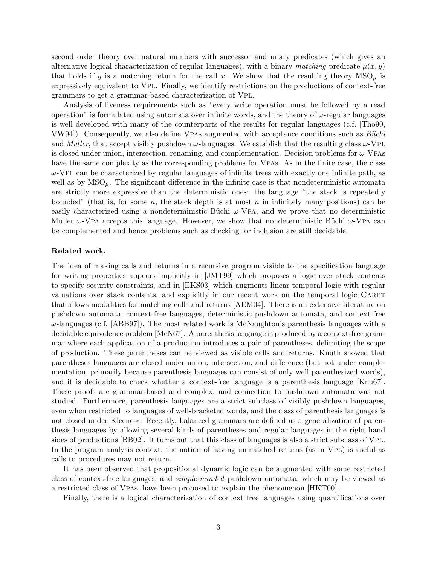second order theory over natural numbers with successor and unary predicates (which gives an alternative logical characterization of regular languages), with a binary *matching* predicate  $\mu(x, y)$ that holds if y is a matching return for the call x. We show that the resulting theory  $MSO<sub>\mu</sub>$  is expressively equivalent to Vpl. Finally, we identify restrictions on the productions of context-free grammars to get a grammar-based characterization of Vpl.

Analysis of liveness requirements such as "every write operation must be followed by a read operation" is formulated using automata over infinite words, and the theory of  $\omega$ -regular languages is well developed with many of the counterparts of the results for regular languages (c.f. [Tho90, VW94]). Consequently, we also define Vpas augmented with acceptance conditions such as *B¨uchi* and *Muller*, that accept visibly pushdown  $\omega$ -languages. We establish that the resulting class  $\omega$ -VPL is closed under union, intersection, renaming, and complementation. Decision problems for  $\omega$ -VPAs have the same complexity as the corresponding problems for Vpas. As in the finite case, the class  $\omega$ -VPL can be characterized by regular languages of infinite trees with exactly one infinite path, as well as by  $MSO_\mu$ . The significant difference in the infinite case is that nondeterministic automata are strictly more expressive than the deterministic ones: the language "the stack is repeatedly bounded" (that is, for some n, the stack depth is at most n in infinitely many positions) can be easily characterized using a nondeterministic Büchi  $\omega$ -VPA, and we prove that no deterministic Muller  $\omega$ -VPA accepts this language. However, we show that nondeterministic Büchi  $\omega$ -VPA can be complemented and hence problems such as checking for inclusion are still decidable.

#### **Related work.**

The idea of making calls and returns in a recursive program visible to the specification language for writing properties appears implicitly in [JMT99] which proposes a logic over stack contents to specify security constraints, and in [EKS03] which augments linear temporal logic with regular valuations over stack contents, and explicitly in our recent work on the temporal logic CARET that allows modalities for matching calls and returns [AEM04]. There is an extensive literature on pushdown automata, context-free languages, deterministic pushdown automata, and context-free  $\omega$ -languages (c.f. [ABB97]). The most related work is McNaughton's parenthesis languages with a decidable equivalence problem [McN67]. A parenthesis language is produced by a context-free grammar where each application of a production introduces a pair of parentheses, delimiting the scope of production. These parentheses can be viewed as visible calls and returns. Knuth showed that parentheses languages are closed under union, intersection, and difference (but not under complementation, primarily because parenthesis languages can consist of only well parenthesized words), and it is decidable to check whether a context-free language is a parenthesis language [Knu67]. These proofs are grammar-based and complex, and connection to pushdown automata was not studied. Furthermore, parenthesis languages are a strict subclass of visibly pushdown languages, even when restricted to languages of well-bracketed words, and the class of parenthesis languages is not closed under Kleene-∗. Recently, balanced grammars are defined as a generalization of parenthesis languages by allowing several kinds of parentheses and regular languages in the right hand sides of productions [BB02]. It turns out that this class of languages is also a strict subclass of Vpl. In the program analysis context, the notion of having unmatched returns (as in Vpl) is useful as calls to procedures may not return.

It has been observed that propositional dynamic logic can be augmented with some restricted class of context-free languages, and *simple-minded* pushdown automata, which may be viewed as a restricted class of Vpas, have been proposed to explain the phenomenon [HKT00].

Finally, there is a logical characterization of context free languages using quantifications over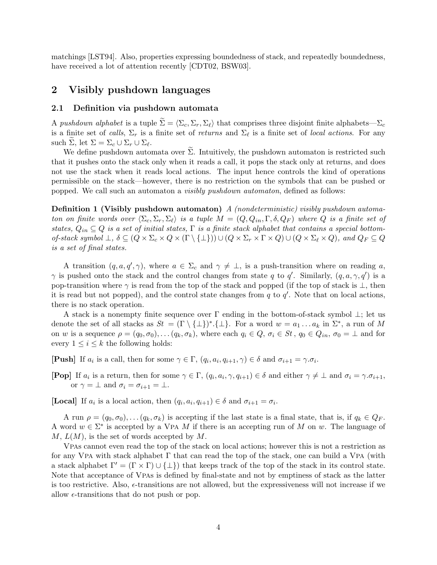matchings [LST94]. Also, properties expressing boundedness of stack, and repeatedly boundedness, have received a lot of attention recently [CDT02, BSW03].

### **2 Visibly pushdown languages**

#### **2.1 Definition via pushdown automata**

A *pushdown alphabet* is a tuple  $\tilde{\Sigma} = \langle \Sigma_c, \Sigma_r, \Sigma_\ell \rangle$  that comprises three disjoint finite alphabets— $\Sigma_c$ is a finite set of *calls*,  $\Sigma_r$  is a finite set of *returns* and  $\Sigma_\ell$  is a finite set of *local actions*. For any such  $\Sigma$ , let  $\Sigma = \Sigma_c \cup \Sigma_r \cup \Sigma_\ell$ .

We define pushdown automata over  $\Sigma$ . Intuitively, the pushdown automaton is restricted such that it pushes onto the stack only when it reads a call, it pops the stack only at returns, and does not use the stack when it reads local actions. The input hence controls the kind of operations permissible on the stack—however, there is no restriction on the symbols that can be pushed or popped. We call such an automaton a *visibly pushdown automaton*, defined as follows:

**Definition 1 (Visibly pushdown automaton)** *A (nondeterministic) visibly pushdown automaton on finite words over*  $\langle \Sigma_c, \Sigma_r, \Sigma_\ell \rangle$  *is a tuple*  $M = (Q, Q_{in}, \Gamma, \delta, Q_F)$  where Q *is a finite set of states,*  $Q_{in} \subseteq Q$  *is a set of initial states,*  $\Gamma$  *is a finite stack alphabet that contains a special bottom* $of\text{-}stack\; symbol\perp,\ \delta\subseteq (Q\times \Sigma_c\times Q\times (\Gamma\setminus\{\perp\}))\cup (Q\times \Sigma_r\times \Gamma\times Q)\cup (Q\times \Sigma_\ell\times Q),\;and\;Q_F\subseteq Q$ *is a set of final states.*

A transition  $(q, a, q', \gamma)$ , where  $a \in \Sigma_c$  and  $\gamma \neq \bot$ , is a push-transition where on reading a,  $\gamma$  is pushed onto the stack and the control changes from state q to q'. Similarly,  $(q, a, \gamma, q')$  is a pop-transition where  $\gamma$  is read from the top of the stack and popped (if the top of stack is  $\perp$ , then it is read but not popped), and the control state changes from  $q$  to  $q'$ . Note that on local actions, there is no stack operation.

A stack is a nonempty finite sequence over  $\Gamma$  ending in the bottom-of-stack symbol  $\bot$ ; let us denote the set of all stacks as  $St = (\Gamma \setminus {\{\perp\}})^*.$  { $\perp$ }. For a word  $w = a_1 \ldots a_k$  in  $\Sigma^*$ , a run of M on w is a sequence  $\rho = (q_0, \sigma_0), \ldots (q_k, \sigma_k)$ , where each  $q_i \in Q$ ,  $\sigma_i \in St$ ,  $q_0 \in Q_{in}$ ,  $\sigma_0 = \perp$  and for every  $1 \leq i \leq k$  the following holds:

**[Push]** If  $a_i$  is a call, then for some  $\gamma \in \Gamma$ ,  $(q_i, a_i, q_{i+1}, \gamma) \in \delta$  and  $\sigma_{i+1} = \gamma \cdot \sigma_i$ .

**[Pop]** If  $a_i$  is a return, then for some  $\gamma \in \Gamma$ ,  $(q_i, a_i, \gamma, q_{i+1}) \in \delta$  and either  $\gamma \neq \bot$  and  $\sigma_i = \gamma \cdot \sigma_{i+1}$ , or  $\gamma = \perp$  and  $\sigma_i = \sigma_{i+1} = \perp$ .

**[Local]** If  $a_i$  is a local action, then  $(q_i, a_i, q_{i+1}) \in \delta$  and  $\sigma_{i+1} = \sigma_i$ .

A run  $\rho = (q_0, \sigma_0), \ldots (q_k, \sigma_k)$  is accepting if the last state is a final state, that is, if  $q_k \in Q_F$ . A word  $w \in \Sigma^*$  is accepted by a VPA M if there is an accepting run of M on w. The language of  $M, L(M)$ , is the set of words accepted by M.

Vpas cannot even read the top of the stack on local actions; however this is not a restriction as for any Vpa with stack alphabet Γ that can read the top of the stack, one can build a Vpa (with a stack alphabet  $\Gamma' = (\Gamma \times \Gamma) \cup {\{\perp\}}$  that keeps track of the top of the stack in its control state. Note that acceptance of Vpas is defined by final-state and not by emptiness of stack as the latter is too restrictive. Also,  $\epsilon$ -transitions are not allowed, but the expressiveness will not increase if we allow  $\epsilon$ -transitions that do not push or pop.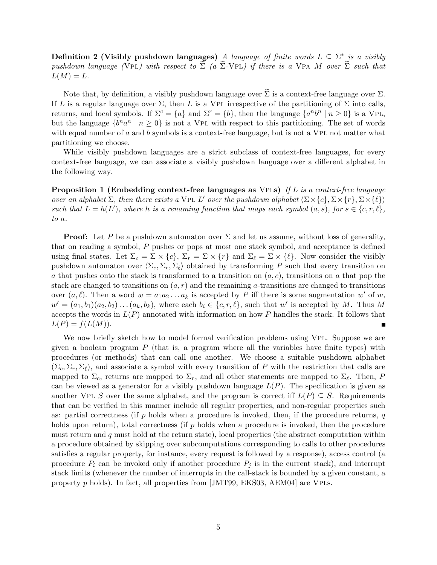**Definition 2 (Visibly pushdown languages)** *A language of finite words*  $L \subseteq \Sigma^*$  *is a visibly pushdown language (*VPL) with respect to  $\Sigma$  (a  $\Sigma$ -VPL) if there is a VPA M over  $\Sigma$  such that  $L(M) = L$ .

Note that, by definition, a visibly pushdown language over  $\widetilde{\Sigma}$  is a context-free language over  $\Sigma$ . If L is a regular language over  $\Sigma$ , then L is a VPL irrespective of the partitioning of  $\Sigma$  into calls, returns, and local symbols. If  $\Sigma^c = \{a\}$  and  $\Sigma^r = \{b\}$ , then the language  $\{a^n b^n | n \geq 0\}$  is a VPL. but the language  $\{b^n a^n \mid n \geq 0\}$  is not a VPL with respect to this partitioning. The set of words with equal number of  $a$  and  $b$  symbols is a context-free language, but is not a VPL not matter what partitioning we choose.

While visibly pushdown languages are a strict subclass of context-free languages, for every context-free language, we can associate a visibly pushdown language over a different alphabet in the following way.

**Proposition 1 (Embedding context-free languages as** Vpl**s)** *If* <sup>L</sup> *is a context-free language over an alphabet*  $\Sigma$ , then there exists a VPL L' *over the pushdown alphabet*  $\langle \Sigma \times \{c\}, \Sigma \times \{r\}, \Sigma \times \{\ell\} \rangle$ *such that*  $L = h(L')$ *, where h is a renaming function that maps each symbol*  $(a, s)$ *, for*  $s \in \{c, r, \ell\}$ *, to* a*.*

**Proof:** Let P be a pushdown automaton over  $\Sigma$  and let us assume, without loss of generality, that on reading a symbol, P pushes or pops at most one stack symbol, and acceptance is defined using final states. Let  $\Sigma_c = \Sigma \times \{c\}, \Sigma_r = \Sigma \times \{r\}$  and  $\Sigma_{\ell} = \Sigma \times \{\ell\}.$  Now consider the visibly pushdown automaton over  $\langle \Sigma_c, \Sigma_r, \Sigma_\ell \rangle$  obtained by transforming P such that every transition on a that pushes onto the stack is transformed to a transition on  $(a, c)$ , transitions on a that pop the stack are changed to transitions on  $(a, r)$  and the remaining a-transitions are changed to transitions over  $(a, \ell)$ . Then a word  $w = a_1 a_2 \ldots a_k$  is accepted by P iff there is some augmentation w' of w,  $w' = (a_1, b_1)(a_2, b_2)\dots(a_k, b_k)$ , where each  $b_i \in \{c, r, \ell\}$ , such that w' is accepted by M. Thus M accepts the words in  $L(P)$  annotated with information on how P handles the stack. It follows that  $L(P) = f(L(M)).$ 

We now briefly sketch how to model formal verification problems using VPL. Suppose we are given a boolean program  $P$  (that is, a program where all the variables have finite types) with procedures (or methods) that can call one another. We choose a suitable pushdown alphabet  $(\Sigma_c, \Sigma_r, \Sigma_\ell)$ , and associate a symbol with every transition of P with the restriction that calls are mapped to  $\Sigma_c$ , returns are mapped to  $\Sigma_r$ , and all other statements are mapped to  $\Sigma_\ell$ . Then, P can be viewed as a generator for a visibly pushdown language  $L(P)$ . The specification is given as another VPL S over the same alphabet, and the program is correct iff  $L(P) \subseteq S$ . Requirements that can be verified in this manner include all regular properties, and non-regular properties such as: partial correctness (if  $p$  holds when a procedure is invoked, then, if the procedure returns,  $q$ holds upon return), total correctness (if  $p$  holds when a procedure is invoked, then the procedure must return and  $q$  must hold at the return state), local properties (the abstract computation within a procedure obtained by skipping over subcomputations corresponding to calls to other procedures satisfies a regular property, for instance, every request is followed by a response), access control (a procedure  $P_i$  can be invoked only if another procedure  $P_j$  is in the current stack), and interrupt stack limits (whenever the number of interrupts in the call-stack is bounded by a given constant, a property <sup>p</sup> holds). In fact, all properties from [JMT99, EKS03, AEM04] are Vpls.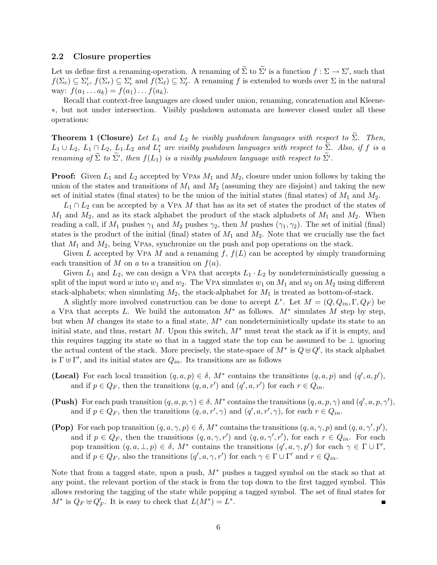#### **2.2 Closure properties**

Let us define first a renaming-operation. A renaming of  $\widetilde{\Sigma}$  to  $\widetilde{\Sigma'}$  is a function  $f : \Sigma \to \Sigma'$ , such that  $f(\Sigma_c) \subseteq \Sigma_c'$ ,  $f(\Sigma_r) \subseteq \Sigma_r'$  and  $f(\Sigma_\ell) \subseteq \Sigma_\ell'$ . A renaming f is extended to words over  $\Sigma$  in the natural way:  $f(a_1 \ldots a_k) = f(a_1) \ldots f(a_k)$ .

Recall that context-free languages are closed under union, renaming, concatenation and Kleene- ∗, but not under intersection. Visibly pushdown automata are however closed under all these operations:

**Theorem 1 (Closure)** Let  $L_1$  and  $L_2$  be visibly pushdown languages with respect to  $\Sigma$ . Then,  $L_1 \cup L_2$ ,  $L_1 \cap L_2$ ,  $L_1 \cap L_2$  *and*  $L_1^*$  *are visibly pushdown languages with respect to*  $\Sigma$ *. Also, if* f *is a renaming of*  $\widetilde{\Sigma}$  *to*  $\widetilde{\Sigma}'$ , then  $f(L_1)$  *is a visibly pushdown language with respect to*  $\widetilde{\Sigma}'$ .

**Proof:** Given  $L_1$  and  $L_2$  accepted by VPAs  $M_1$  and  $M_2$ , closure under union follows by taking the union of the states and transitions of  $M_1$  and  $M_2$  (assuming they are disjoint) and taking the new set of initial states (final states) to be the union of the initial states (final states) of  $M_1$  and  $M_2$ .

 $L_1 \cap L_2$  can be accepted by a VPA M that has as its set of states the product of the states of  $M_1$  and  $M_2$ , and as its stack alphabet the product of the stack alphabets of  $M_1$  and  $M_2$ . When reading a call, if  $M_1$  pushes  $\gamma_1$  and  $M_2$  pushes  $\gamma_2$ , then M pushes  $(\gamma_1, \gamma_2)$ . The set of initial (final) states is the product of the initial (final) states of  $M_1$  and  $M_2$ . Note that we crucially use the fact that  $M_1$  and  $M_2$ , being VPAs, synchronize on the push and pop operations on the stack.

Given L accepted by VPA M and a renaming  $f, f(L)$  can be accepted by simply transforming each transition of M on a to a transition on  $f(a)$ .

Given  $L_1$  and  $L_2$ , we can design a VPA that accepts  $L_1 \cdot L_2$  by nondeterministically guessing a split of the input word w into  $w_1$  and  $w_2$ . The VPA simulates  $w_1$  on  $M_1$  and  $w_2$  on  $M_2$  using different stack-alphabets; when simulating  $M_2$ , the stack-alphabet for  $M_1$  is treated as bottom-of-stack.

A slightly more involved construction can be done to accept  $L^*$ . Let  $M = (Q, Q_{in}, \Gamma, Q_F)$  be a VPA that accepts L. We build the automaton  $M^*$  as follows.  $M^*$  simulates M step by step, but when M changes its state to a final state,  $M^*$  can nondeterministically update its state to an initial state, and thus, restart M. Upon this switch,  $M^*$  must treat the stack as if it is empty, and this requires tagging its state so that in a tagged state the top can be assumed to be  $\perp$  ignoring the actual content of the stack. More precisely, the state-space of  $M^*$  is  $Q \oplus Q'$ , its stack alphabet is  $\Gamma \uplus \Gamma'$ , and its initial states are  $Q_{in}$ . Its transitions are as follows

- **(Local)** For each local transition  $(q, a, p) \in \delta$ ,  $M^*$  contains the transitions  $(q, a, p)$  and  $(q', a, p')$ , and if  $p \in Q_F$ , then the transitions  $(q, a, r')$  and  $(q', a, r')$  for each  $r \in Q_{in}$ .
- **(Push)** For each push transition  $(q, a, p, \gamma) \in \delta$ ,  $M^*$  contains the transitions  $(q, a, p, \gamma)$  and  $(q', a, p, \gamma')$ , and if  $p \in Q_F$ , then the transitions  $(q, a, r', \gamma)$  and  $(q', a, r', \gamma)$ , for each  $r \in Q_{in}$ .
- **(Pop)** For each pop transition  $(q, a, \gamma, p) \in \delta$ ,  $M^*$  contains the transitions  $(q, a, \gamma, p)$  and  $(q, a, \gamma', p')$ , and if  $p \in Q_F$ , then the transitions  $(q, a, \gamma, r')$  and  $(q, a, \gamma', r')$ , for each  $r \in Q_{in}$ . For each pop transition  $(q, a, \perp, p) \in \delta$ , M<sup>\*</sup> contains the transitions  $(q', a, \gamma, p')$  for each  $\gamma \in \Gamma \cup \Gamma'$ , and if  $p \in Q_F$ , also the transitions  $(q', a, \gamma, r')$  for each  $\gamma \in \Gamma \cup \Gamma'$  and  $r \in Q_{in}$ .

Note that from a tagged state, upon a push,  $M^*$  pushes a tagged symbol on the stack so that at any point, the relevant portion of the stack is from the top down to the first tagged symbol. This allows restoring the tagging of the state while popping a tagged symbol. The set of final states for  $M^*$  is  $Q_F \oplus Q'_F$ . It is easy to check that  $L(M^*) = L^*$ .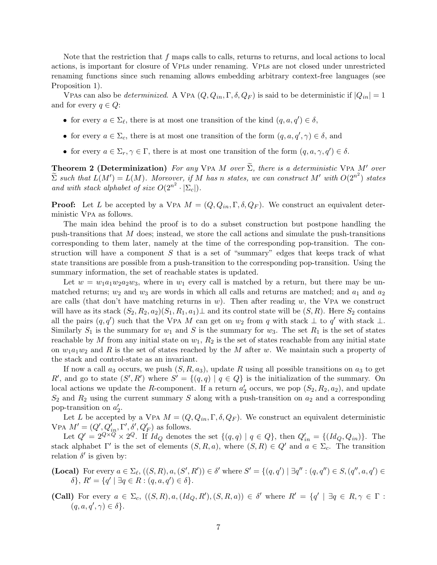Note that the restriction that  $f$  maps calls to calls, returns to returns, and local actions to local actions, is important for closure of Vpls under renaming. Vpls are not closed under unrestricted renaming functions since such renaming allows embedding arbitrary context-free languages (see Proposition 1).

VPAs can also be *determinized*. A VPA  $(Q, Q_{in}, \Gamma, \delta, Q_F)$  is said to be deterministic if  $|Q_{in}| = 1$ and for every  $q \in Q$ :

- for every  $a \in \Sigma_{\ell}$ , there is at most one transition of the kind  $(q, a, q') \in \delta$ ,
- for every  $a \in \Sigma_c$ , there is at most one transition of the form  $(q, a, q', \gamma) \in \delta$ , and
- for every  $a \in \Sigma_r$ ,  $\gamma \in \Gamma$ , there is at most one transition of the form  $(q, a, \gamma, q') \in \delta$ .

**Theorem 2 (Determinization)** For any VPA M over  $\widetilde{\Sigma}$ , there is a deterministic VPA M' over  $\sum_{n=1}^{\infty}$  such that  $L(M') = L(M)$ . Moreover, if M has n states, we can construct M' with  $O(2^{n^2})$  states and with stack alphabet of size  $O(2^{n^2} \cdot |\Sigma_c|)$ .

**Proof:** Let L be accepted by a VPA  $M = (Q, Q_{in}, \Gamma, \delta, Q_F)$ . We construct an equivalent deterministic Vpa as follows.

The main idea behind the proof is to do a subset construction but postpone handling the push-transitions that  $M$  does; instead, we store the call actions and simulate the push-transitions corresponding to them later, namely at the time of the corresponding pop-transition. The construction will have a component  $S$  that is a set of "summary" edges that keeps track of what state transitions are possible from a push-transition to the corresponding pop-transition. Using the summary information, the set of reachable states is updated.

Let  $w = w_1 a_1 w_2 a_2 w_3$ , where in  $w_1$  every call is matched by a return, but there may be unmatched returns;  $w_2$  and  $w_3$  are words in which all calls and returns are matched; and  $a_1$  and  $a_2$ are calls (that don't have matching returns in  $w$ ). Then after reading  $w$ , the VPA we construct will have as its stack  $(S_2, R_2, a_2)(S_1, R_1, a_1)$  and its control state will be  $(S, R)$ . Here  $S_2$  contains all the pairs  $(q, q')$  such that the VPA M can get on  $w_2$  from q with stack  $\perp$  to q' with stack  $\perp$ .<br>Similarly S, is the summary for  $w_2$  and S is the summary for  $w_2$ . The set B, is the set of states Similarly  $S_1$  is the summary for  $w_1$  and S is the summary for  $w_3$ . The set  $R_1$  is the set of states reachable by M from any initial state on  $w_1$ ,  $R_2$  is the set of states reachable from any initial state on  $w_1a_1w_2$  and R is the set of states reached by the M after w. We maintain such a property of the stack and control-state as an invariant.

If now a call  $a_3$  occurs, we push  $(S, R, a_3)$ , update R using all possible transitions on  $a_3$  to get R', and go to state  $(S', R')$  where  $S' = \{(q, q) | q \in Q\}$  is the initialization of the summary. On local actions we update the R-component. If a return  $a'_2$  occurs, we pop  $(S_2, R_2, a_2)$ , and update  $S_2$  and  $R_2$  using the current summary S along with a push-transition on  $a_2$  and a corresponding pop-transition on  $a'_2$ .

Let L be accepted by a VPA  $M = (Q, Q_{in}, \Gamma, \delta, Q_F)$ . We construct an equivalent deterministic VPA  $M' = (Q', Q'_{in}, \Gamma', \delta', Q'_F)$  as follows.<br>Let  $Q' = 2Q \times Q \times 2Q$  if  $Id_{\mathcal{Q}}$  denotes

Let  $Q' = 2^{Q \times Q'} \times 2^Q$ . If  $Id_Q$  denotes the set  $\{(q,q) \mid q \in Q\}$ , then  $Q'_{in} = \{(Id_Q, Q_{in})\}$ . The stack alphabet Γ' is the set of elements  $(S, R, a)$ , where  $(S, R) \in Q'$  and  $a \in \Sigma_c$ . The transition relation  $\delta'$  is given by:

**(Local)** For every  $a \in \Sigma_{\ell}$ ,  $((S, R), a, (S', R')) \in \delta'$  where  $S' = \{(q, q') \mid \exists q'' : (q, q'') \in S, (q'', a, q') \in \mathcal{S}\}$  $\delta$ ,  $R' = \{q' | \exists q \in R : (q, a, q') \in \delta\}.$ 

**(Call)** For every  $a \in \Sigma_c$ ,  $((S, R), a, (Id_Q, R'), (S, R, a)) \in \delta'$  where  $R' = \{q' \mid \exists q \in R, \gamma \in \Gamma :$  $(q, a, q', \gamma) \in \delta$ .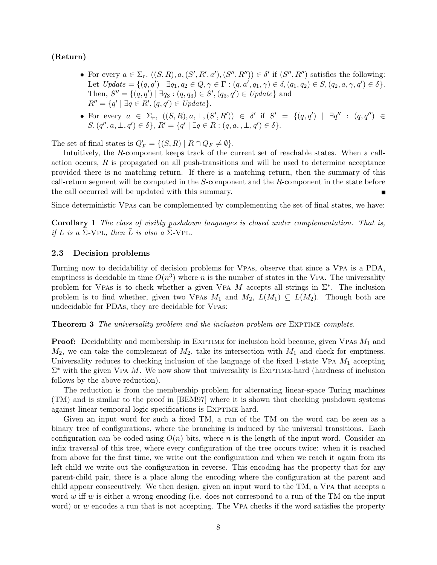### **(Return)**

- For every  $a \in \Sigma_r$ ,  $((S, R), a, (S', R', a'), (S'', R'')) \in \delta'$  if  $(S'', R'')$  satisfies the following: Let  $Update = \{(q, q') \mid \exists q_1, q_2 \in Q, \gamma \in \Gamma : (q, a', q_1, \gamma) \in \delta, (q_1, q_2) \in S, (q_2, a, \gamma, q') \in \delta\}.$ Then,  $S'' = \{(q, q') \mid \exists q_3 : (q, q_3) \in S', (q_3, q') \in Update\}$  and  $R'' = \{q' \mid \exists q \in R', (q, q') \in Update\}.$
- For every  $a \in \Sigma_r$ ,  $((S, R), a, \bot, (S', R')) \in \delta'$  if  $S' = \{(q, q') | \exists q'' : (q, q'') \in$  $S, (q'', a, \perp, q') \in \delta$ ,  $R' = \{q' \mid \exists q \in R : (q, a, \perp, q') \in \delta\}.$

The set of final states is  $Q'_F = \{(S, R) | R \cap Q_F \neq \emptyset\}.$ 

Intuitively, the R-component keeps track of the current set of reachable states. When a callaction occurs,  $R$  is propagated on all push-transitions and will be used to determine acceptance provided there is no matching return. If there is a matching return, then the summary of this call-return segment will be computed in the S-component and the R-component in the state before the call occurred will be updated with this summary.

Since deterministic Vpas can be complemented by complementing the set of final states, we have:

**Corollary 1** *The class of visibly pushdown languages is closed under complementation. That is, if* L *is a*  $\Sigma$ -VPL, *then*  $\overline{L}$  *is also a*  $\Sigma$ -VPL.

### **2.3 Decision problems**

Turning now to decidability of decision problems for Vpas, observe that since a Vpa is a PDA, emptiness is decidable in time  $O(n^3)$  where n is the number of states in the VPA. The universality problem for VPAs is to check whether a given VPA M accepts all strings in  $\Sigma^*$ . The inclusion problem is to find whether, given two VPAs  $M_1$  and  $M_2$ ,  $L(M_1) \subseteq L(M_2)$ . Though both are undecidable for PDAs, they are decidable for Vpas:

**Theorem 3** *The universality problem and the inclusion problem are* EXPTIME-complete.

**Proof:** Decidability and membership in EXPTIME for inclusion hold because, given VPAs  $M_1$  and  $M_2$ , we can take the complement of  $M_2$ , take its intersection with  $M_1$  and check for emptiness. Universality reduces to checking inclusion of the language of the fixed 1-state VPA  $M_1$  accepting  $\Sigma^*$  with the given VPA M. We now show that universality is EXPTIME-hard (hardness of inclusion follows by the above reduction).

The reduction is from the membership problem for alternating linear-space Turing machines (TM) and is similar to the proof in [BEM97] where it is shown that checking pushdown systems against linear temporal logic specifications is EXPTIME-hard.

Given an input word for such a fixed TM, a run of the TM on the word can be seen as a binary tree of configurations, where the branching is induced by the universal transitions. Each configuration can be coded using  $O(n)$  bits, where n is the length of the input word. Consider an infix traversal of this tree, where every configuration of the tree occurs twice: when it is reached from above for the first time, we write out the configuration and when we reach it again from its left child we write out the configuration in reverse. This encoding has the property that for any parent-child pair, there is a place along the encoding where the configuration at the parent and child appear consecutively. We then design, given an input word to the TM, a Vpa that accepts a word w iff w is either a wrong encoding (i.e. does not correspond to a run of the TM on the input word) or w encodes a run that is not accepting. The VPA checks if the word satisfies the property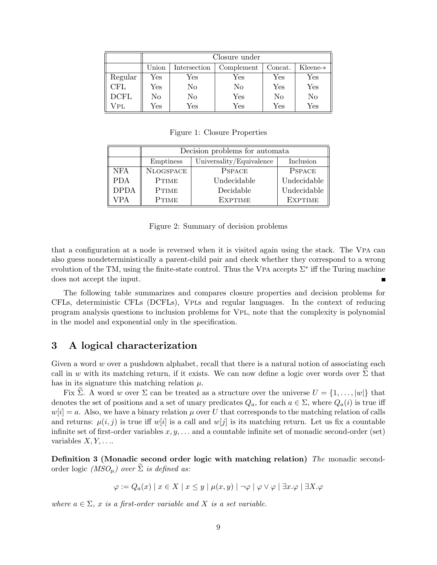|             | Closure under        |                      |                      |          |                      |  |
|-------------|----------------------|----------------------|----------------------|----------|----------------------|--|
|             | Union                | Intersection         | Complement           | Concat.  | Kleene-*             |  |
| Regular     | Yes                  | Yes                  | $\operatorname{Yes}$ | Yes      | Yes                  |  |
| <b>CFL</b>  | $\operatorname{Yes}$ | No                   | No                   | Yes      | ${\rm Yes}$          |  |
| <b>DCFL</b> | No                   | N <sub>o</sub>       | Yes                  | $\rm No$ | No                   |  |
| Vpl         | Yes                  | $\operatorname{Yes}$ | Yes                  | Yes      | $\operatorname{Yes}$ |  |

Figure 1: Closure Properties

|             | Decision problems for automata |                          |                |  |  |  |
|-------------|--------------------------------|--------------------------|----------------|--|--|--|
|             | Emptiness                      | Universality/Equivalence | Inclusion      |  |  |  |
| <b>NFA</b>  | <b>NLOGSPACE</b>               | <b>PSPACE</b>            | <b>PSPACE</b>  |  |  |  |
| <b>PDA</b>  | <b>PTIME</b>                   | Undecidable              | Undecidable    |  |  |  |
| <b>DPDA</b> | <b>PTIME</b>                   | Decidable                | Undecidable    |  |  |  |
|             | <b>PTIME</b>                   | <b>EXPTIME</b>           | <b>EXPTIME</b> |  |  |  |

Figure 2: Summary of decision problems

that a configuration at a node is reversed when it is visited again using the stack. The Vpa can also guess nondeterministically a parent-child pair and check whether they correspond to a wrong evolution of the TM, using the finite-state control. Thus the VPA accepts  $\Sigma^*$  iff the Turing machine does not accept the input.

The following table summarizes and compares closure properties and decision problems for CFLs, deterministic CFLs (DCFLs), Vpls and regular languages. In the context of reducing program analysis questions to inclusion problems for Vpl, note that the complexity is polynomial in the model and exponential only in the specification.

# **3 A logical characterization**

Given a word  $w$  over a pushdown alphabet, recall that there is a natural notion of associating each call in w with its matching return, if it exists. We can now define a logic over words over  $\Sigma$  that has in its signature this matching relation  $\mu$ .

Fix  $\Sigma$ . A word w over  $\Sigma$  can be treated as a structure over the universe  $U = \{1, \ldots, |w|\}$  that denotes the set of positions and a set of unary predicates  $Q_a$ , for each  $a \in \Sigma$ , where  $Q_a(i)$  is true iff  $w[i] = a$ . Also, we have a binary relation  $\mu$  over U that corresponds to the matching relation of calls and returns:  $\mu(i, j)$  is true iff w[i] is a call and w[j] is its matching return. Let us fix a countable infinite set of first-order variables  $x, y, \ldots$  and a countable infinite set of monadic second-order (set) variables  $X, Y, \ldots$ 

**Definition 3 (Monadic second order logic with matching relation)** *The* monadic secondorder logic  $(MSO<sub>µ</sub>)$  over  $\Sigma$  *is defined as:* 

$$
\varphi := Q_a(x) | x \in X | x \le y | \mu(x, y) | \neg \varphi | \varphi \vee \varphi | \exists x. \varphi | \exists X. \varphi
$$

*where*  $a \in \Sigma$ , x *is a first-order variable and* X *is a set variable.*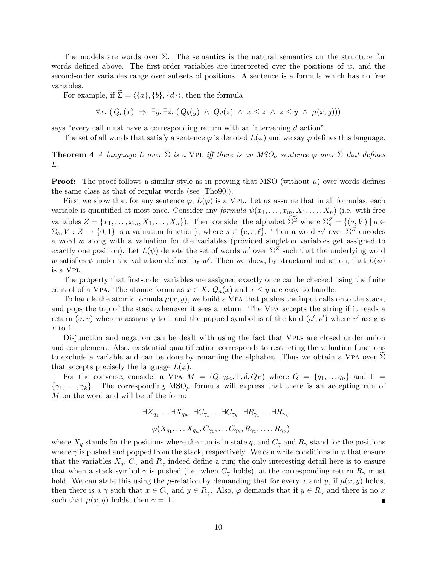The models are words over  $\Sigma$ . The semantics is the natural semantics on the structure for words defined above. The first-order variables are interpreted over the positions of  $w$ , and the second-order variables range over subsets of positions. A sentence is a formula which has no free variables.

For example, if  $\widetilde{\Sigma} = \langle \{a\}, \{b\}, \{d\} \rangle$ , then the formula

$$
\forall x. (Q_a(x) \Rightarrow \exists y. \exists z. (Q_b(y) \land Q_d(z) \land x \leq z \land z \leq y \land \mu(x, y)))
$$

says "every call must have a corresponding return with an intervening d action".

The set of all words that satisfy a sentence  $\varphi$  is denoted  $L(\varphi)$  and we say  $\varphi$  defines this language.

**Theorem 4** *A language L over*  $\widetilde{\Sigma}$  *is a* VPL *iff there is an*  $MSO_{\mu}$  *sentence*  $\varphi$  *over*  $\widetilde{\Sigma}$  *that defines* L*.*

**Proof:** The proof follows a similar style as in proving that MSO (without  $\mu$ ) over words defines the same class as that of regular words (see [Tho90]).

First we show that for any sentence  $\varphi$ ,  $L(\varphi)$  is a VPL. Let us assume that in all formulas, each variable is quantified at most once. Consider any *formula*  $\psi(x_1, \ldots, x_m, X_1, \ldots, X_n)$  (i.e. with free variables  $Z = \{x_1, \ldots, x_m, X_1, \ldots, X_n\}$ . Then consider the alphabet  $\sum^Z$  where  $\sum^Z_s = \{(a, V) \mid a \in \mathbb{R}^d\}$  $\Sigma_s, V: Z \to \{0, 1\}$  is a valuation function}, where  $s \in \{c, r, \ell\}$ . Then a word w' over  $\Sigma^Z$  encodes a word w along with a valuation for the variables (provided singleton variables get assigned to exactly one position). Let  $L(\psi)$  denote the set of words w' over  $\Sigma^Z$  such that the underlying word w satisfies  $\psi$  under the valuation defined by w'. Then we show, by structural induction, that  $L(\psi)$ is a Vpl.

The property that first-order variables are assigned exactly once can be checked using the finite control of a VPA. The atomic formulas  $x \in X$ ,  $Q_a(x)$  and  $x \leq y$  are easy to handle.

To handle the atomic formula  $\mu(x, y)$ , we build a VPA that pushes the input calls onto the stack, and pops the top of the stack whenever it sees a return. The Vpa accepts the string if it reads a return  $(a, v)$  where v assigns y to 1 and the popped symbol is of the kind  $(a', v')$  where v' assigns  $x$  to 1.

Disjunction and negation can be dealt with using the fact that Vpls are closed under union and complement. Also, existential quantification corresponds to restricting the valuation functions to exclude a variable and can be done by renaming the alphabet. Thus we obtain a VPA over  $\Sigma$ that accepts precisely the language  $L(\varphi)$ .

For the converse, consider a VPA  $M = (Q, q_{in}, \Gamma, \delta, Q_F)$  where  $Q = \{q_1, \ldots q_n\}$  and  $\Gamma =$  $\{\gamma_1,\ldots,\gamma_k\}$ . The corresponding  $MSO_\mu$  formula will express that there is an accepting run of M on the word and will be of the form:

$$
\exists X_{q_1} \dots \exists X_{q_n} \ \exists C_{\gamma_1} \dots \exists C_{\gamma_k} \ \exists R_{\gamma_1} \dots \exists R_{\gamma_k}
$$

$$
\varphi(X_{q_1}, \dots X_{q_n}, C_{\gamma_1}, \dots C_{\gamma_k}, R_{\gamma_1}, \dots, R_{\gamma_k})
$$

where  $X_q$  stands for the positions where the run is in state q, and  $C_\gamma$  and  $R_\gamma$  stand for the positions where  $\gamma$  is pushed and popped from the stack, respectively. We can write conditions in  $\varphi$  that ensure that the variables  $X_q$ ,  $C_\gamma$  and  $R_\gamma$  indeed define a run; the only interesting detail here is to ensure that when a stack symbol  $\gamma$  is pushed (i.e. when  $C_{\gamma}$  holds), at the corresponding return  $R_{\gamma}$  must hold. We can state this using the  $\mu$ -relation by demanding that for every x and y, if  $\mu(x, y)$  holds, then there is a  $\gamma$  such that  $x \in C_{\gamma}$  and  $y \in R_{\gamma}$ . Also,  $\varphi$  demands that if  $y \in R_{\gamma}$  and there is no x such that  $\mu(x, y)$  holds, then  $\gamma = \bot$ .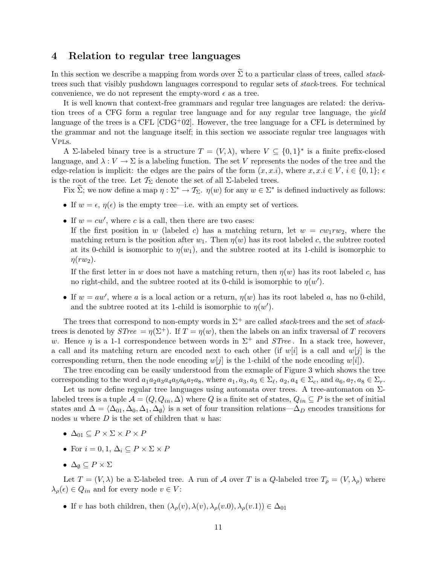### **4 Relation to regular tree languages**

In this section we describe a mapping from words over  $\Sigma$  to a particular class of trees, called *stack*trees such that visibly pushdown languages correspond to regular sets of *stack*-trees. For technical convenience, we do not represent the empty-word  $\epsilon$  as a tree.

It is well known that context-free grammars and regular tree languages are related: the derivation trees of a CFG form a regular tree language and for any regular tree language, the *yield* language of the trees is a CFL  $[CDG^+02]$ . However, the tree language for a CFL is determined by the grammar and not the language itself; in this section we associate regular tree languages with Vpls.

A Σ-labeled binary tree is a structure  $T = (V, \lambda)$ , where  $V \subseteq \{0, 1\}^*$  is a finite prefix-closed language, and  $\lambda : V \to \Sigma$  is a labeling function. The set V represents the nodes of the tree and the edge-relation is implicit: the edges are the pairs of the form  $(x, x.i)$ , where  $x, x.i \in V$ ,  $i \in \{0, 1\}$ ;  $\epsilon$ is the root of the tree. Let  $\mathcal{T}_{\Sigma}$  denote the set of all  $\Sigma$ -labeled trees.

Fix  $\Sigma$ ; we now define a map  $\eta : \Sigma^* \to \mathcal{T}_{\Sigma}$ .  $\eta(w)$  for any  $w \in \Sigma^*$  is defined inductively as follows:

- If  $w = \epsilon$ ,  $\eta(\epsilon)$  is the empty tree—i.e. with an empty set of vertices.
- If  $w = cw'$ , where c is a call, then there are two cases:

If the first position in w (labeled c) has a matching return, let  $w = cw_1rw_2$ , where the matching return is the position after  $w_1$ . Then  $\eta(w)$  has its root labeled c, the subtree rooted at its 0-child is isomorphic to  $\eta(w_1)$ , and the subtree rooted at its 1-child is isomorphic to  $\eta(rw_2)$ .

If the first letter in w does not have a matching return, then  $\eta(w)$  has its root labeled c, has no right-child, and the subtree rooted at its 0-child is isomorphic to  $\eta(w')$ .

• If  $w = aw'$ , where a is a local action or a return,  $\eta(w)$  has its root labeled a, has no 0-child, and the subtree rooted at its 1-child is isomorphic to  $\eta(w')$ .

The trees that correspond to non-empty words in  $\Sigma^+$  are called *stack*-trees and the set of *stack*trees is denoted by *STree* =  $\eta(\Sigma^+)$ . If  $T = \eta(w)$ , then the labels on an infix traversal of T recovers w. Hence  $\eta$  is a 1-1 correspondence between words in  $\Sigma^+$  and  $STree$ . In a stack tree, however, a call and its matching return are encoded next to each other (if  $w[i]$  is a call and  $w[j]$  is the corresponding return, then the node encoding  $w[i]$  is the 1-child of the node encoding  $w[i]$ .

The tree encoding can be easily understood from the exmaple of Figure 3 which shows the tree corresponding to the word  $a_1a_2a_3a_4a_5a_6a_7a_8$ , where  $a_1, a_3, a_5 \in \Sigma_{\ell}$ ,  $a_2, a_4 \in \Sigma_{c}$ , and  $a_6, a_7, a_8 \in \Sigma_{r}$ .

Let us now define regular tree languages using automata over trees. A tree-automaton on  $\Sigma$ labeled trees is a tuple  $\mathcal{A} = (Q, Q_{in}, \Delta)$  where Q is a finite set of states,  $Q_{in} \subseteq P$  is the set of initial states and  $\Delta = \langle \Delta_{01}, \Delta_0, \Delta_1, \Delta_0 \rangle$  is a set of four transition relations— $\Delta_D$  encodes transitions for nodes  $u$  where  $D$  is the set of children that  $u$  has:

- $\bullet \Delta_{01} \subseteq P \times \Sigma \times P \times P$
- For  $i = 0, 1, \Delta_i \subset P \times \Sigma \times P$
- $\Delta_{\emptyset} \subseteq P \times \Sigma$

Let  $T = (V, \lambda)$  be a  $\Sigma$ -labeled tree. A run of A over T is a Q-labeled tree  $T_{\rho} = (V, \lambda_{\rho})$  where  $\lambda_{\rho}(\epsilon) \in Q_{in}$  and for every node  $v \in V$ :

• If v has both children, then  $(\lambda_{\rho}(v), \lambda(v), \lambda_{\rho}(v.0), \lambda_{\rho}(v.1)) \in \Delta_{01}$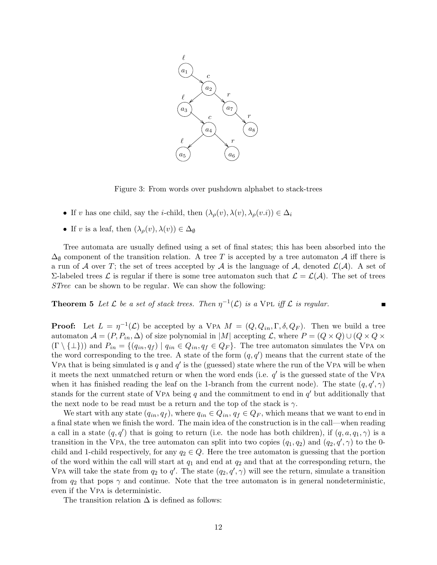

Figure 3: From words over pushdown alphabet to stack-trees

- If v has one child, say the *i*-child, then  $(\lambda_o(v), \lambda(v), \lambda_o(v.i)) \in \Delta_i$
- If v is a leaf, then  $(\lambda_{\rho}(v), \lambda(v)) \in \Delta_{\emptyset}$

Tree automata are usually defined using a set of final states; this has been absorbed into the  $\Delta_{\emptyset}$  component of the transition relation. A tree T is accepted by a tree automaton A iff there is a run of A over T; the set of trees accepted by A is the language of A, denoted  $\mathcal{L}(\mathcal{A})$ . A set of Σ-labeled trees L is regular if there is some tree automaton such that  $\mathcal{L} = \mathcal{L}(\mathcal{A})$ . The set of trees *STree* can be shown to be regular. We can show the following:

**Theorem 5** Let  $\mathcal L$  be a set of stack trees. Then  $\eta^{-1}(\mathcal L)$  is a VPL iff  $\mathcal L$  is regular.

**Proof:** Let  $L = \eta^{-1}(\mathcal{L})$  be accepted by a VPA  $M = (Q, Q_{in}, \Gamma, \delta, Q_F)$ . Then we build a tree automaton  $\mathcal{A} = (P, P_{in}, \Delta)$  of size polynomial in |M| accepting  $\mathcal{L}$ , where  $P = (Q \times Q) \cup (Q \times Q \times Q)$  $(\Gamma \setminus {\{\perp\}})$  and  $P_{in} = \{(q_{in}, q_f) \mid q_{in} \in Q_{in}, q_f \in Q_F\}$ . The tree automaton simulates the VPA on the word corresponding to the tree. A state of the form  $(q, q')$  means that the current state of the VPA that is being simulated is q and  $q'$  is the (guessed) state where the run of the VPA will be when it meets the next unmatched return or when the word ends (i.e.  $q'$  is the guessed state of the VPA when it has finished reading the leaf on the 1-branch from the current node). The state  $(q, q', \gamma)$ stands for the current state of VPA being q and the commitment to end in  $q'$  but additionally that the next node to be read must be a return and the top of the stack is  $\gamma$ .

We start with any state  $(q_{in}, q_f)$ , where  $q_{in} \in Q_{in}$ ,  $q_f \in Q_F$ , which means that we want to end in a final state when we finish the word. The main idea of the construction is in the call—when reading a call in a state  $(q, q')$  that is going to return (i.e. the node has both children), if  $(q, a, q_1, \gamma)$  is a transition in the VPA, the tree automaton can split into two copies  $(q_1, q_2)$  and  $(q_2, q', \gamma)$  to the 0-<br>child and 1 child respectively for any  $q_2 \in \Omega$ . Here the tree automaton is guessing that the perties child and 1-child respectively, for any  $q_2 \in Q$ . Here the tree automaton is guessing that the portion of the word within the call will start at  $q_1$  and end at  $q_2$  and that at the corresponding return, the VPA will take the state from  $q_2$  to  $q'$ . The state  $(q_2, q', \gamma)$  will see the return, simulate a transition from  $q_2$  that pops  $\alpha$  and continue. Note that the tree automaton is in general pondeterministic. from  $q_2$  that pops  $\gamma$  and continue. Note that the tree automaton is in general nondeterministic, even if the Vpa is deterministic.

The transition relation  $\Delta$  is defined as follows: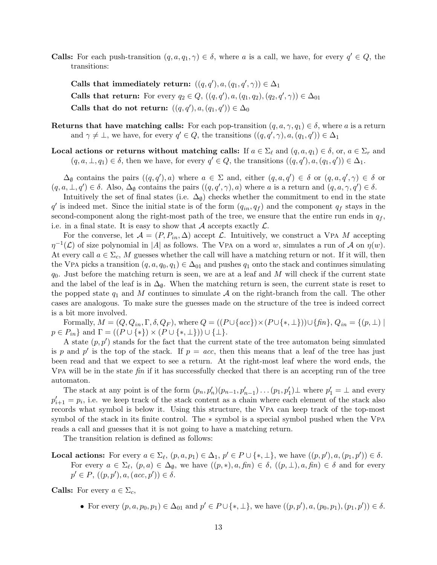**Calls:** For each push-transition  $(q, a, q_1, \gamma) \in \delta$ , where a is a call, we have, for every  $q' \in Q$ , the transitions:

Calls that immediately return:  $((q, q'), a, (q_1, q', \gamma)) \in \Delta_1$ **Calls that return:** For every  $q_2 \in Q$ ,  $((q, q'), a, (q_1, q_2), (q_2, q', \gamma)) \in \Delta_{01}$ Calls that do not return:  $((q, q'), a, (q_1, q')) \in \Delta_0$ 

- **Returns that have matching calls:** For each pop-transition  $(q, a, \gamma, q_1) \in \delta$ , where a is a return and  $\gamma \neq \bot$ , we have, for every  $q' \in Q$ , the transitions  $((q, q', \gamma), a, (q_1, q')) \in \Delta_1$
- **Local actions or returns without matching calls:** If  $a \in \Sigma_{\ell}$  and  $(q, a, q_1) \in \delta$ , or,  $a \in \Sigma_r$  and  $(q, a, \perp, q_1) \in \delta$ , then we have, for every  $q' \in Q$ , the transitions  $((q, q'), a, (q_1, q')) \in \Delta_1$ .

 $\Delta_{\emptyset}$  contains the pairs  $((q, q'), a)$  where  $a \in \Sigma$  and, either  $(q, a, q') \in \delta$  or  $(q, a, q', \gamma) \in \delta$  or  $(q, a, \perp, q') \in \delta$ . Also,  $\Delta_{\emptyset}$  contains the pairs  $((q, q', \gamma), a)$  where a is a return and  $(q, a, \gamma, q') \in \delta$ .

Intuitively the set of final states (i.e.  $\Delta_{\emptyset}$ ) checks whether the commitment to end in the state  $q'$  is indeed met. Since the initial state is of the form  $(q_{in}, q_f)$  and the component  $q_f$  stays in the second-component along the right-most path of the tree, we ensure that the entire run ends in  $q_f$ , i.e. in a final state. It is easy to show that  $A$  accepts exactly  $\mathcal{L}$ .

For the converse, let  $\mathcal{A} = (P, P_{in}, \Delta)$  accept  $\mathcal{L}$ . Intuitively, we construct a VPA M accepting  $\eta^{-1}(\mathcal{L})$  of size polynomial in |A| as follows. The VPA on a word w, simulates a run of A on  $\eta(w)$ . At every call  $a \in \Sigma_c$ , M guesses whether the call will have a matching return or not. If it will, then the VPA picks a transition  $(q, a, q_0, q_1) \in \Delta_{01}$  and pushes  $q_1$  onto the stack and continues simulating  $q_0$ . Just before the matching return is seen, we are at a leaf and M will check if the current state and the label of the leaf is in  $\Delta_{\emptyset}$ . When the matching return is seen, the current state is reset to the popped state  $q_1$  and M continues to simulate A on the right-branch from the call. The other cases are analogous. To make sure the guesses made on the structure of the tree is indeed correct is a bit more involved.

Formally,  $M = (Q, Q_{in}, \Gamma, \delta, Q_F)$ , where  $Q = ((P \cup \{acc\}) \times (P \cup \{*, \perp\})) \cup \{fin\}, Q_{in} = \{(p, \perp) \mid$  $p \in P_{in}$ } and  $\Gamma = ((P \cup \{*\}) \times (P \cup \{*,\perp\})) \cup \{\perp\}.$ 

A state  $(p, p')$  stands for the fact that the current state of the tree automaton being simulated is p and  $p'$  is the top of the stack. If  $p = acc$ , then this means that a leaf of the tree has just been read and that we expect to see a return. At the right-most leaf where the word ends, the Vpa will be in the state *fin* if it has successfully checked that there is an accepting run of the tree automaton.

The stack at any point is of the form  $(p_n, p'_n)(p_{n-1}, p'_{n-1})\dots(p_1, p'_1)\perp$  where  $p'_1 = \perp$  and every  $p'_{i+1} = p_i$ , i.e. we keep track of the stack content as a chain where each element of the stack also records what symbol is below it. Using this structure, the Vpa can keep track of the top-most symbol of the stack in its finite control. The  $*$  symbol is a special symbol pushed when the VPA reads a call and guesses that it is not going to have a matching return.

The transition relation is defined as follows:

**Local actions:** For every  $a \in \Sigma_{\ell}$ ,  $(p, a, p_1) \in \Delta_1$ ,  $p' \in P \cup \{*, \bot\}$ , we have  $((p, p'), a, (p_1, p')) \in \delta$ . For every  $a \in \Sigma_{\ell}$ ,  $(p, a) \in \Delta_{\emptyset}$ , we have  $((p, *), a, fin) \in \delta$ ,  $((p, \bot), a, fin) \in \delta$  and for every  $p' \in P, ((p, p'), a, (acc, p')) \in \delta.$ 

**Calls:** For every  $a \in \Sigma_c$ ,

• For every  $(p, a, p_0, p_1) \in \Delta_{01}$  and  $p' \in P \cup \{*, \perp\}$ , we have  $((p, p'), a, (p_0, p_1), (p_1, p')) \in \delta$ .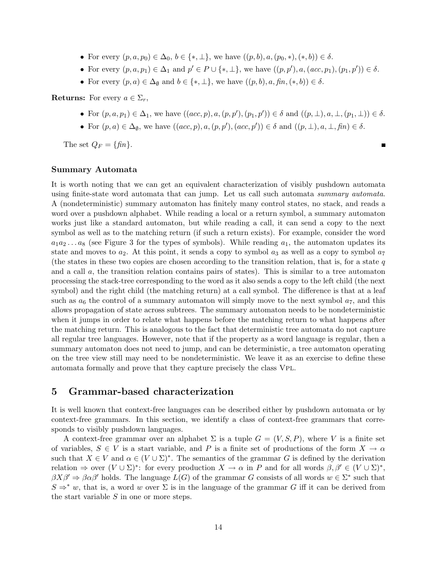- For every  $(p, a, p_0) \in \Delta_0$ ,  $b \in \{*, \perp\}$ , we have  $((p, b), a, (p_0, *), (*, b)) \in \delta$ .
- For every  $(p, a, p_1) \in \Delta_1$  and  $p' \in P \cup \{*, \perp\}$ , we have  $((p, p'), a, (acc, p_1), (p_1, p')) \in \delta$ .
- For every  $(p, a) \in \Delta_{\emptyset}$  and  $b \in \{*, \perp\}$ , we have  $((p, b), a, fin, (*, b)) \in \delta$ .

**Returns:** For every  $a \in \Sigma_r$ ,

• For  $(p, a, p_1) \in \Delta_1$ , we have  $((acc, p), a, (p, p'), (p_1, p')) \in \delta$  and  $((p, \perp), a, \perp, (p_1, \perp)) \in \delta$ .

 $\blacksquare$ 

• For  $(p, a) \in \Delta_{\emptyset}$ , we have  $((acc, p), a, (p, p'), (acc, p')) \in \delta$  and  $((p, \perp), a, \perp, fin) \in \delta$ .

The set  $Q_F = \{fn\}.$ 

#### **Summary Automata**

It is worth noting that we can get an equivalent characterization of visibly pushdown automata using finite-state word automata that can jump. Let us call such automata *summary automata*. A (nondeterministic) summary automaton has finitely many control states, no stack, and reads a word over a pushdown alphabet. While reading a local or a return symbol, a summary automaton works just like a standard automaton, but while reading a call, it can send a copy to the next symbol as well as to the matching return (if such a return exists). For example, consider the word  $a_1a_2...a_8$  (see Figure 3 for the types of symbols). While reading  $a_1$ , the automaton updates its state and moves to  $a_2$ . At this point, it sends a copy to symbol  $a_3$  as well as a copy to symbol  $a_7$ (the states in these two copies are chosen according to the transition relation, that is, for a state  $q$ and a call a, the transition relation contains pairs of states). This is similar to a tree automaton processing the stack-tree corresponding to the word as it also sends a copy to the left child (the next symbol) and the right child (the matching return) at a call symbol. The difference is that at a leaf such as  $a_6$  the control of a summary automaton will simply move to the next symbol  $a_7$ , and this allows propagation of state across subtrees. The summary automaton needs to be nondeterministic when it jumps in order to relate what happens before the matching return to what happens after the matching return. This is analogous to the fact that deterministic tree automata do not capture all regular tree languages. However, note that if the property as a word language is regular, then a summary automaton does not need to jump, and can be deterministic, a tree automaton operating on the tree view still may need to be nondeterministic. We leave it as an exercise to define these automata formally and prove that they capture precisely the class Vpl.

### **5 Grammar-based characterization**

It is well known that context-free languages can be described either by pushdown automata or by context-free grammars. In this section, we identify a class of context-free grammars that corresponds to visibly pushdown languages.

A context-free grammar over an alphabet  $\Sigma$  is a tuple  $G = (V, S, P)$ , where V is a finite set of variables,  $S \in V$  is a start variable, and P is a finite set of productions of the form  $X \to \alpha$ such that  $X \in V$  and  $\alpha \in (V \cup \Sigma)^*$ . The semantics of the grammar G is defined by the derivation relation  $\Rightarrow$  over  $(V \cup \Sigma)^*$ : for every production  $X \to \alpha$  in P and for all words  $\beta, \beta' \in (V \cup \Sigma)^*$ .  $\beta X\beta' \Rightarrow \beta \alpha \beta'$  holds. The language  $L(G)$  of the grammar G consists of all words  $w \in \Sigma^*$  such that  $S \Rightarrow^* w$ , that is, a word w over  $\Sigma$  is in the language of the grammar G iff it can be derived from the start variable S in one or more steps.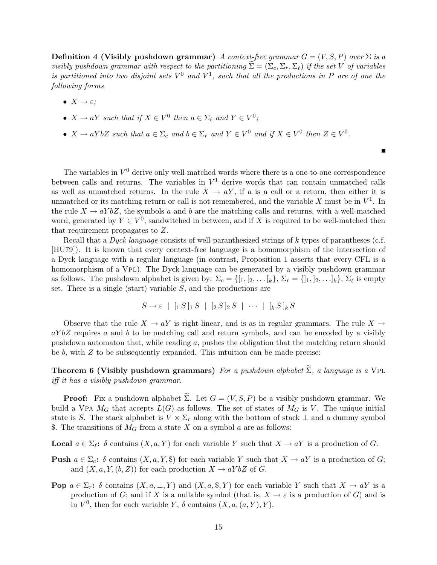**Definition 4 (Visibly pushdown grammar)** *A context-free grammar*  $G = (V, S, P)$  *over*  $\Sigma$  *is a visibly pushdown grammar with respect to the partitioning*  $\Sigma = (\Sigma_c, \Sigma_r, \Sigma_\ell)$  *if the set* V *of variables is partitioned into two disjoint sets*  $V^0$  *and*  $V^1$ *, such that all the productions in* P *are of one the following forms*

- $X \to \varepsilon$ *;*
- $X \to aY$  *such that if*  $X \in V^0$  *then*  $a \in \Sigma_\ell$  *and*  $Y \in V^0$ *;*
- $X \to aYbZ$  *such that*  $a \in \Sigma_c$  *and*  $b \in \Sigma_r$  *and*  $Y \in V^0$  *and* if  $X \in V^0$  *then*  $Z \in V^0$ *.*

The variables in  $V^0$  derive only well-matched words where there is a one-to-one correspondence between calls and returns. The variables in  $V^1$  derive words that can contain unmatched calls as well as unmatched returns. In the rule  $X \to aY$ , if a is a call or a return, then either it is unmatched or its matching return or call is not remembered, and the variable X must be in  $V^1$ . In the rule  $X \to aYbZ$ , the symbols a and b are the matching calls and returns, with a well-matched word, generated by  $Y \in V^0$ , sandwitched in between, and if X is required to be well-matched then that requirement propagates to Z.

г

Recall that a *Dyck language* consists of well-paranthesized strings of k types of parantheses (c.f. [HU79]). It is known that every context-free language is a homomorphism of the intersection of a Dyck language with a regular language (in contrast, Proposition 1 asserts that every CFL is a homomorphism of a VPL). The Dyck language can be generated by a visibly pushdown grammar as follows. The pushdown alphabet is given by:  $\Sigma_c = \{ [1, [2, \ldots [k], \Sigma_r = \{ ]_1, ]_2, \ldots ]_k \}, \Sigma_\ell$  is empty set. There is a single (start) variable  $S$ , and the productions are

$$
S \to \varepsilon \mid [{}_1S]_1S \mid [{}_2S]_2S \mid \cdots \mid [{}_kS]_kS
$$

Observe that the rule  $X \to aY$  is right-linear, and is as in regular grammars. The rule  $X \to aY$  $aYbZ$  requires a and b to be matching call and return symbols, and can be encoded by a visibly pushdown automaton that, while reading a, pushes the obligation that the matching return should be  $b$ , with  $Z$  to be subsequently expanded. This intuition can be made precise:

**Theorem 6 (Visibly pushdown grammars)** *For a pushdown alphabet*  $\widetilde{\Sigma}$ , a language is a VPL *iff it has a visibly pushdown grammar.*

**Proof:** Fix a pushdown alphabet  $\Sigma$ . Let  $G = (V, S, P)$  be a visibly pushdown grammar. We build a VPA  $M_G$  that accepts  $L(G)$  as follows. The set of states of  $M_G$  is V. The unique initial state is S. The stack alphabet is  $V \times \Sigma_r$  along with the bottom of stack  $\bot$  and a dummy symbol \$. The transitions of  $M_G$  from a state X on a symbol a are as follows:

**Local**  $a \in \Sigma_{\ell}$ :  $\delta$  contains  $(X, a, Y)$  for each variable Y such that  $X \to aY$  is a production of G.

- **Push**  $a \in \Sigma_c$ :  $\delta$  contains  $(X, a, Y, \mathcal{S})$  for each variable Y such that  $X \to aY$  is a production of G; and  $(X, a, Y, (b, Z))$  for each production  $X \to aYbZ$  of G.
- **Pop**  $a \in \Sigma_r$ :  $\delta$  contains  $(X, a, \bot, Y)$  and  $(X, a, \S, Y)$  for each variable Y such that  $X \to aY$  is a production of G; and if X is a nullable symbol (that is,  $X \to \varepsilon$  is a production of G) and is in  $V^0$ , then for each variable Y,  $\delta$  contains  $(X, a, (a, Y), Y)$ .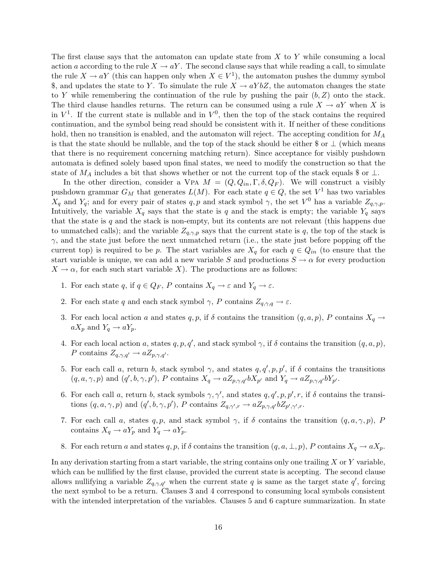The first clause says that the automaton can update state from  $X$  to  $Y$  while consuming a local action a according to the rule  $X \to aY$ . The second clause says that while reading a call, to simulate the rule  $X \to aY$  (this can happen only when  $X \in V<sup>1</sup>$ ), the automaton pushes the dummy symbol \$, and updates the state to Y. To simulate the rule  $X \to aYbZ$ , the automaton changes the state to Y while remembering the continuation of the rule by pushing the pair  $(b, Z)$  onto the stack. The third clause handles returns. The return can be consumed using a rule  $X \to aY$  when X is in  $V^1$ . If the current state is nullable and in  $V^0$ , then the top of the stack contains the required continuation, and the symbol being read should be consistent with it. If neither of these conditions hold, then no transition is enabled, and the automaton will reject. The accepting condition for  $M_A$ is that the state should be nullable, and the top of the stack should be either \$ or  $\perp$  (which means that there is no requirement concerning matching return). Since acceptance for visibly pushdown automata is defined solely based upon final states, we need to modify the construction so that the state of  $M_A$  includes a bit that shows whether or not the current top of the stack equals \$ or  $\perp$ .

In the other direction, consider a VPA  $M = (Q, Q_{in}, \Gamma, \delta, Q_F)$ . We will construct a visibly pushdown grammar  $G_M$  that generates  $L(M)$ . For each state  $q \in Q$ , the set  $V^1$  has two variables  $X_q$  and  $Y_q$ ; and for every pair of states q, p and stack symbol  $\gamma$ , the set  $V^0$  has a variable  $Z_{q,\gamma,p}$ . Intuitively, the variable  $X_q$  says that the state is q and the stack is empty; the variable  $Y_q$  says that the state is  $q$  and the stack is non-empty, but its contents are not relevant (this happens due to unmatched calls); and the variable  $Z_{q,\gamma,p}$  says that the current state is q, the top of the stack is  $\gamma$ , and the state just before the next unmatched return (i.e., the state just before popping off the current top) is required to be p. The start variables are  $X_q$  for each  $q \in Q_{in}$  (to ensure that the start variable is unique, we can add a new variable S and productions  $S \to \alpha$  for every production  $X \to \alpha$ , for each such start variable X). The productions are as follows:

- 1. For each state q, if  $q \in Q_F$ , P contains  $X_q \to \varepsilon$  and  $Y_q \to \varepsilon$ .
- 2. For each state q and each stack symbol  $\gamma$ , P contains  $Z_{q,\gamma,q} \to \varepsilon$ .
- 3. For each local action a and states q, p, if  $\delta$  contains the transition  $(q, a, p)$ , P contains  $X_q \to$  $aX_p$  and  $Y_q \rightarrow aY_p$ .
- 4. For each local action a, states  $q, p, q'$ , and stack symbol  $\gamma$ , if  $\delta$  contains the transition  $(q, a, p)$ , P contains  $Z_{q,\gamma,q'} \to aZ_{p,\gamma,q'}.$
- 5. For each call a, return b, stack symbol  $\gamma$ , and states  $q, q', p, p'$ , if  $\delta$  contains the transitions  $(q, a, \gamma, p)$  and  $(q', b, \gamma, p')$ , P contains  $X_q \to aZ_{p,\gamma,q'}bX_{p'}$  and  $Y_q \to aZ_{p,\gamma,q'}bY_{p'}$ .
- 6. For each call a, return b, stack symbols  $\gamma$ ,  $\gamma'$ , and states  $q$ ,  $q'$ ,  $p$ ,  $p'$ ,  $r$ , if  $\delta$  contains the transitions  $(q, a, \gamma, p)$  and  $(q', b, \gamma, p')$ , P contains  $Z_{q, \gamma', r} \to aZ_{p, \gamma, q'}bZ_{p', \gamma', r}$ .
- 7. For each call a, states q, p, and stack symbol  $\gamma$ , if  $\delta$  contains the transition  $(q, a, \gamma, p)$ , P contains  $X_q \to aY_p$  and  $Y_q \to aY_p$ .
- 8. For each return a and states q, p, if  $\delta$  contains the transition  $(q, a, \perp, p)$ , P contains  $X_q \to aX_p$ .

In any derivation starting from a start variable, the string contains only one trailing  $X$  or  $Y$  variable, which can be nullified by the first clause, provided the current state is accepting. The second clause allows nullifying a variable  $Z_{q,\gamma,q'}$  when the current state q is same as the target state q', forcing the next symbol to be a return. Clauses 3 and 4 correspond to consuming local symbols consistent with the intended interpretation of the variables. Clauses 5 and 6 capture summarization. In state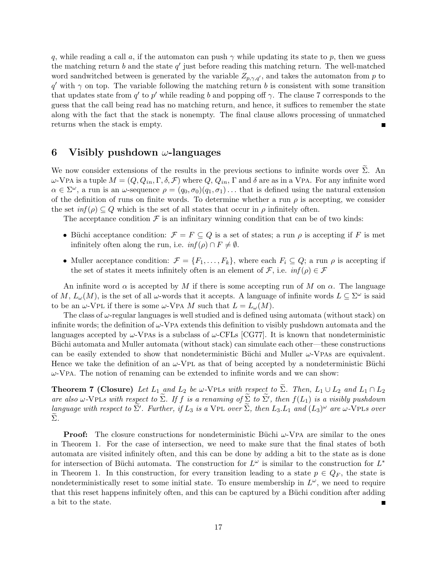q, while reading a call a, if the automaton can push  $\gamma$  while updating its state to p, then we guess the matching return b and the state  $q'$  just before reading this matching return. The well-matched word sandwitched between is generated by the variable  $Z_{p,\gamma,q}$ , and takes the automaton from p to  $q'$  with  $\gamma$  on top. The variable following the matching return b is consistent with some transition that updates state from q' to p' while reading b and popping off  $\gamma$ . The clause 7 corresponds to the guess that the call being read has no matching return, and hence, it suffices to remember the state along with the fact that the stack is nonempty. The final clause allows processing of unmatched returns when the stack is empty.

## **6 Visibly pushdown** ω**-languages**

We now consider extensions of the results in the previous sections to infinite words over  $\Sigma$ . An  $ω$ -VPA is a tuple  $M = (Q, Q_{in}, Γ, δ, F)$  where  $Q, Q_{in}, Γ$  and δ are as in a VPA. For any infinite word  $\alpha \in \Sigma^{\omega}$ , a run is an  $\omega$ -sequence  $\rho = (q_0, \sigma_0)(q_1, \sigma_1) \dots$  that is defined using the natural extension of the definition of runs on finite words. To determine whether a run  $\rho$  is accepting, we consider the set  $inf(\rho) \subseteq Q$  which is the set of all states that occur in  $\rho$  infinitely often.

The acceptance condition  $\mathcal F$  is an infinitary winning condition that can be of two kinds:

- Büchi acceptance condition:  $\mathcal{F} = F \subseteq Q$  is a set of states; a run  $\rho$  is accepting if F is met infinitely often along the run, i.e.  $inf(\rho) \cap F \neq \emptyset$ .
- Muller acceptance condition:  $\mathcal{F} = \{F_1, \ldots, F_k\}$ , where each  $F_i \subseteq Q$ ; a run  $\rho$  is accepting if the set of states it meets infinitely often is an element of F, i.e.  $inf(\rho) \in \mathcal{F}$

An infinite word  $\alpha$  is accepted by M if there is some accepting run of M on  $\alpha$ . The language of M,  $L_{\omega}(M)$ , is the set of all  $\omega$ -words that it accepts. A language of infinite words  $L \subseteq \Sigma^{\omega}$  is said to be an  $\omega$ -VPL if there is some  $\omega$ -VPA M such that  $L = L_{\omega}(M)$ .

The class of  $\omega$ -regular languages is well studied and is defined using automata (without stack) on infinite words; the definition of  $\omega$ -VPA extends this definition to visibly pushdown automata and the languages accepted by  $\omega$ -VPAs is a subclass of  $\omega$ -CFLs [CG77]. It is known that nondeterministic Büchi automata and Muller automata (without stack) can simulate each other—these constructions can be easily extended to show that nondeterministic Büchi and Muller  $\omega$ -VPAs are equivalent. Hence we take the definition of an  $\omega$ -VPL as that of being accepted by a nondeterministic Büchi  $\omega$ -VPA. The notion of renaming can be extended to infinite words and we can show:

**Theorem 7 (Closure)** Let  $L_1$  and  $L_2$  be  $\omega$ -VPLs with respect to  $\widetilde{\Sigma}$ . Then,  $L_1 \cup L_2$  and  $L_1 \cap L_2$ *are also*  $\omega$ -VPLs with respect to  $\tilde{\Sigma}$ . If f is a renaming of  $\tilde{\Sigma}$  to  $\tilde{\Sigma}'$ , then  $f(L_1)$  is a visibly pushdown<br>language with respect to  $\tilde{\Sigma}'$ . Further, if L<sub>2</sub> is a VPL over  $\tilde{\Sigma}$ , then L<sub>2</sub> L<sub>4</sub> and *language with respect to*  $\Sigma'$ *. Further, if*  $L_3$  *is a* VPL *over*  $\Sigma$ *, then*  $L_3.L_1$  *and*  $(L_3)^\omega$  *are*  $\omega$ -VPL*s over*  $\widetilde{\Sigma}$ Σe*.*

**Proof:** The closure constructions for nondeterministic Büchi  $\omega$ -VPA are similar to the ones in Theorem 1. For the case of intersection, we need to make sure that the final states of both automata are visited infinitely often, and this can be done by adding a bit to the state as is done for intersection of Büchi automata. The construction for  $L^{\omega}$  is similar to the construction for  $L^*$ in Theorem 1. In this construction, for every transition leading to a state  $p \in Q_F$ , the state is nondeterministically reset to some initial state. To ensure membership in  $L^{\omega}$ , we need to require that this reset happens infinitely often, and this can be captured by a Büchi condition after adding a bit to the state.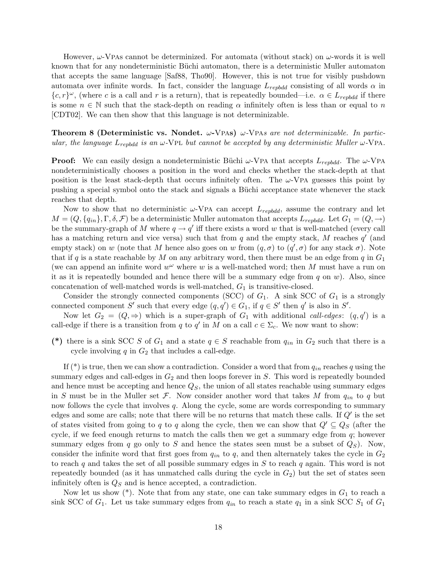However,  $\omega$ -VPAs cannot be determinized. For automata (without stack) on  $\omega$ -words it is well known that for any nondeterministic Büchi automaton, there is a deterministic Muller automaton that accepts the same language [Saf88, Tho90]. However, this is not true for visibly pushdown automata over infinite words. In fact, consider the language  $L_{reptdd}$  consisting of all words  $\alpha$  in  ${c, r}^{\omega}$ , (where c is a call and r is a return), that is repeatedly bounded—i.e.  $\alpha \in L_{reibdd}$  if there is some  $n \in \mathbb{N}$  such that the stack-depth on reading  $\alpha$  infinitely often is less than or equal to n [CDT02]. We can then show that this language is not determinizable.

**Theorem 8 (Deterministic vs. Nondet.** <sup>ω</sup>**-**Vpa**s)** <sup>ω</sup>*-*Vpa*s are not determinizable. In particular, the language*  $L_{reptdd}$  *is an*  $\omega$ -VPL *but cannot be accepted by any deterministic Muller*  $\omega$ -VPA.

**Proof:** We can easily design a nondeterministic Büchi  $\omega$ -VPA that accepts  $L_{reptdd}$ . The  $\omega$ -VPA nondeterministically chooses a position in the word and checks whether the stack-depth at that position is the least stack-depth that occurs infinitely often. The  $\omega$ -VPA guesses this point by pushing a special symbol onto the stack and signals a Büchi acceptance state whenever the stack reaches that depth.

Now to show that no deterministic  $\omega$ -VPA can accept  $L_{reptdd}$ , assume the contrary and let  $M = (Q, \{q_{in}\}, \Gamma, \delta, \mathcal{F})$  be a deterministic Muller automaton that accepts  $L_{reptdd}$ . Let  $G_1 = (Q, \rightarrow)$ be the summary-graph of M where  $q \rightarrow q'$  iff there exists a word w that is well-matched (every call has a matching return and vice versa) such that from q and the empty stack, M reaches  $q'$  (and empty stack) on w (note that M hence also goes on w from  $(q, \sigma)$  to  $(q', \sigma)$  for any stack  $\sigma$ ). Note that if q is a state reachable by M on any arbitrary word, then there must be an edge from  $q$  in  $G_1$ (we can append an infinite word  $w^{\omega}$  where w is a well-matched word; then M must have a run on it as it is repeatedly bounded and hence there will be a summary edge from  $q$  on  $w$ ). Also, since concatenation of well-matched words is well-matched,  $G_1$  is transitive-closed.

Consider the strongly connected components (SCC) of  $G_1$ . A sink SCC of  $G_1$  is a strongly connected component S' such that every edge  $(q, q') \in G_1$ , if  $q \in S'$  then  $q'$  is also in S'.

Now let  $G_2 = (Q, \Rightarrow)$  which is a super-graph of  $G_1$  with additional *call-edges*:  $(q, q')$  is a call-edge if there is a transition from q to  $q'$  in M on a call  $c \in \Sigma_c$ . We now want to show:

(\*) there is a sink SCC S of  $G_1$  and a state  $q \in S$  reachable from  $q_{in}$  in  $G_2$  such that there is a cycle involving  $q$  in  $G_2$  that includes a call-edge.

If (\*) is true, then we can show a contradiction. Consider a word that from  $q_{in}$  reaches q using the summary edges and call-edges in  $G_2$  and then loops forever in S. This word is repeatedly bounded and hence must be accepting and hence  $Q<sub>S</sub>$ , the union of all states reachable using summary edges in S must be in the Muller set F. Now consider another word that takes M from  $q_{in}$  to q but now follows the cycle that involves q. Along the cycle, some are words corresponding to summary edges and some are calls; note that there will be no returns that match these calls. If  $Q'$  is the set of states visited from going to q to q along the cycle, then we can show that  $Q' \subseteq Q_S$  (after the cycle, if we feed enough returns to match the calls then we get a summary edge from  $q$ ; however summary edges from q go only to S and hence the states seen must be a subset of  $Q_S$ ). Now, consider the infinite word that first goes from  $q_{in}$  to q, and then alternately takes the cycle in  $G_2$ to reach q and takes the set of all possible summary edges in  $S$  to reach  $q$  again. This word is not repeatedly bounded (as it has unmatched calls during the cycle in  $G_2$ ) but the set of states seen infinitely often is  $Q_S$  and is hence accepted, a contradiction.

Now let us show  $(*)$ . Note that from any state, one can take summary edges in  $G_1$  to reach a sink SCC of  $G_1$ . Let us take summary edges from  $q_{in}$  to reach a state  $q_1$  in a sink SCC  $S_1$  of  $G_1$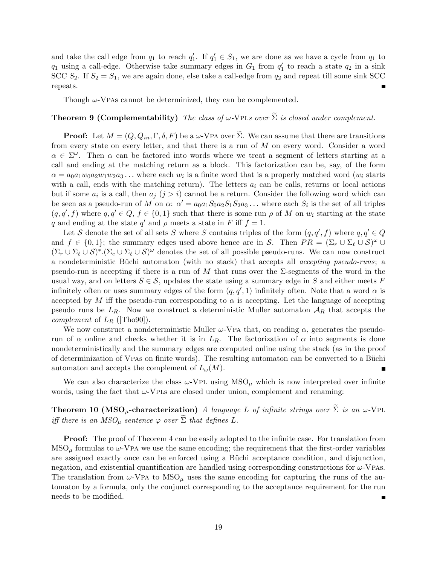and take the call edge from  $q_1$  to reach  $q'_1$ . If  $q'_1 \in S_1$ , we are done as we have a cycle from  $q_1$  to  $q_1$  using a call-edge. Otherwise take summary edges in  $G_1$  from  $q_1'$  to reach a state  $q_2$  in a sink SCC  $S_2$ . If  $S_2 = S_1$ , we are again done, else take a call-edge from  $q_2$  and repeat till some sink SCC repeats.

Though  $\omega$ -VPAs cannot be determinized, they can be complemented.

# **Theorem 9 (Complementability)** *The class of*  $\omega$ -VPLs over  $\widetilde{\Sigma}$  *is closed under complement.*

**Proof:** Let  $M = (Q, Q_{in}, \Gamma, \delta, F)$  be a  $\omega$ -VPA over  $\widetilde{\Sigma}$ . We can assume that there are transitions from every state on every letter, and that there is a run of M on every word. Consider a word  $\alpha \in \Sigma^{\omega}$ . Then  $\alpha$  can be factored into words where we treat a segment of letters starting at a call and ending at the matching return as a block. This factorization can be, say, of the form  $\alpha = a_0 a_1 w_0 a_2 w_1 w_2 a_3 \ldots$  where each  $w_i$  is a finite word that is a properly matched word  $(w_i$  starts with a call, ends with the matching return). The letters  $a_i$  can be calls, returns or local actions but if some  $a_i$  is a call, then  $a_j$   $(j>i)$  cannot be a return. Consider the following word which can be seen as a pseudo-run of M on  $\alpha$ :  $\alpha' = a_0 a_1 S_0 a_2 S_1 S_2 a_3 \dots$  where each  $S_i$  is the set of all triples  $(q, q', f)$  where  $q, q' \in Q, f \in \{0, 1\}$  such that there is some run  $\rho$  of M on  $w_i$  starting at the state q and ending at the state q' and  $\rho$  meets a state in F iff  $f = 1$ .

Let S denote the set of all sets S where S contains triples of the form  $(q, q', f)$  where  $q, q' \in Q$ and  $f \in \{0,1\}$ ; the summary edges used above hence are in S. Then  $PR = (\Sigma_r \cup \Sigma_\ell \cup \mathcal{S})^\omega \cup$  $(\Sigma_r \cup \Sigma_\ell \cup \mathcal{S})^*$ . $(\Sigma_c \cup \Sigma_\ell \cup \mathcal{S})^\omega$  denotes the set of all possible pseudo-runs. We can now construct a nondeterministic Büchi automaton (with no stack) that accepts all *accepting pseudo-runs*; a pseudo-run is accepting if there is a run of M that runs over the  $\Sigma$ -segments of the word in the usual way, and on letters  $S \in \mathcal{S}$ , updates the state using a summary edge in S and either meets F infinitely often or uses summary edges of the form  $(q, q', 1)$  infinitely often. Note that a word  $\alpha$  is accepted by M iff the pseudo-run corresponding to  $\alpha$  is accepting. Let the language of accepting pseudo runs be  $L_R$ . Now we construct a deterministic Muller automaton  $A_R$  that accepts the *complement* of  $L_R$  ([Tho90]).

We now construct a nondeterministic Muller  $\omega$ -VPA that, on reading  $\alpha$ , generates the pseudorun of  $\alpha$  online and checks whether it is in  $L_R$ . The factorization of  $\alpha$  into segments is done nondeterministically and the summary edges are computed online using the stack (as in the proof of determinization of VPAs on finite words). The resulting automaton can be converted to a Büchi automaton and accepts the complement of  $L_{\omega}(M)$ .

We can also characterize the class  $\omega$ -VPL using MSO<sub> $\mu$ </sub> which is now interpreted over infinite words, using the fact that  $\omega$ -VPLs are closed under union, complement and renaming:

**Theorem 10 (MSO<sub>µ</sub>-characterization)** *A language L of infinite strings over*  $\widetilde{\Sigma}$  *is an*  $\omega$ -VPL *iff there is an*  $MSO_\mu$  *sentence*  $\varphi$  *over*  $\Sigma$  *that defines*  $L$ *.* 

**Proof:** The proof of Theorem 4 can be easily adopted to the infinite case. For translation from  $MSO<sub>\mu</sub>$  formulas to  $\omega$ -VPA we use the same encoding; the requirement that the first-order variables are assigned exactly once can be enforced using a Büchi acceptance condition, and disjunction, negation, and existential quantification are handled using corresponding constructions for  $\omega$ -VPAs. The translation from  $\omega$ -VPA to MSO<sub> $\mu$ </sub> uses the same encoding for capturing the runs of the automaton by a formula, only the conjunct corresponding to the acceptance requirement for the run needs to be modified.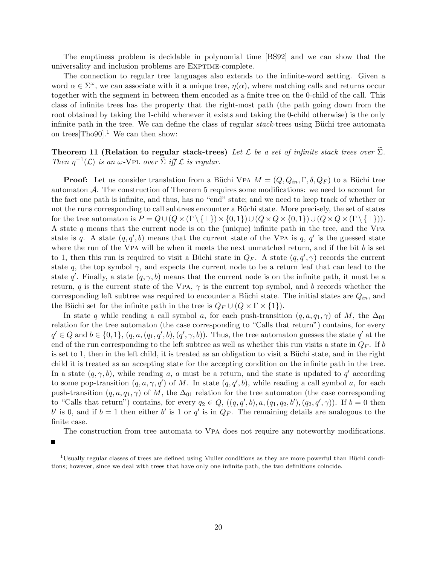The emptiness problem is decidable in polynomial time [BS92] and we can show that the universality and inclusion problems are EXPTIME-complete.

The connection to regular tree languages also extends to the infinite-word setting. Given a word  $\alpha \in \Sigma^{\omega}$ , we can associate with it a unique tree,  $\eta(\alpha)$ , where matching calls and returns occur together with the segment in between them encoded as a finite tree on the 0-child of the call. This class of infinite trees has the property that the right-most path (the path going down from the root obtained by taking the 1-child whenever it exists and taking the 0-child otherwise) is the only infinite path in the tree. We can define the class of regular *stack*-trees using Büchi tree automata on trees [Tho90].<sup>1</sup> We can then show:

**Theorem 11 (Relation to regular stack-trees)** Let  $\mathcal{L}$  be a set of infinite stack trees over  $\Sigma$ . *Then*  $\eta^{-1}(\mathcal{L})$  *is an*  $\omega$ -VPL *over*  $\sum$  *iff*  $\mathcal{L}$  *is regular.* 

**Proof:** Let us consider translation from a Büchi VPA  $M = (Q, Q_{in}, \Gamma, \delta, Q_F)$  to a Büchi tree automaton A. The construction of Theorem 5 requires some modifications: we need to account for the fact one path is infinite, and thus, has no "end" state; and we need to keep track of whether or not the runs corresponding to call subtrees encounter a Büchi state. More precisely, the set of states for the tree automaton is  $P = Q \cup (Q \times (\Gamma \setminus \{\bot\}) \times \{0,1\}) \cup (Q \times Q \times \{0,1\}) \cup (Q \times Q \times (\Gamma \setminus \{\bot\})).$ A state <sup>q</sup> means that the current node is on the (unique) infinite path in the tree, and the Vpa state is q. A state  $(q, q', b)$  means that the current state of the VPA is q, q' is the guessed state<br>where the run of the VPA will be when it mosts the post unmatched return and if the bit h is set where the run of the VPA will be when it meets the next unmatched return, and if the bit  $b$  is set to 1, then this run is required to visit a Büchi state in  $Q_F$ . A state  $(q, q', \gamma)$  records the current state q, the top symbol  $\gamma$ , and expects the current node to be a return leaf that can lead to the state q'. Finally, a state  $(q, \gamma, b)$  means that the current node is on the infinite path, it must be a return, q is the current state of the VPA,  $\gamma$  is the current top symbol, and b records whether the corresponding left subtree was required to encounter a Büchi state. The initial states are  $Q_{in}$ , and the Büchi set for the infinite path in the tree is  $Q_F \cup (Q \times \Gamma \times \{1\})$ .

In state q while reading a call symbol a, for each push-transition  $(q, a, q_1, \gamma)$  of M, the  $\Delta_{01}$ relation for the tree automaton (the case corresponding to "Calls that return") contains, for every  $q' \in Q$  and  $b \in \{0,1\}, (q, a, (q_1, q', b), (q', \gamma, b))$ . Thus, the tree automaton guesses the state  $q'$  at the end of the run corresponding to the left subtree as well as whether this run visits a state in  $Q_F$ . If b is set to 1, then in the left child, it is treated as an obligation to visit a Büchi state, and in the right child it is treated as an accepting state for the accepting condition on the infinite path in the tree. In a state  $(q, \gamma, b)$ , while reading a, a must be a return, and the state is updated to q' according to some pop-transition  $(q, a, \gamma, q')$  of M. In state  $(q, q', b)$ , while reading a call symbol a, for each push-transition  $(q, a, q_1, \gamma)$  of M, the  $\Delta_{01}$  relation for the tree automaton (the case corresponding to "Calls that return") contains, for every  $q_2 \in Q$ ,  $((q, q', b), a, (q_1, q_2, b'), (q_2, q', \gamma))$ . If  $b = 0$  then b' is 0, and if  $b = 1$  then either b' is 1 or q' is in  $Q_F$ . The remaining details are analogous to the finite case.

The construction from tree automata to Vpa does not require any noteworthy modifications.  $\blacksquare$ 

 $1$ Usually regular classes of trees are defined using Muller conditions as they are more powerful than Büchi conditions; however, since we deal with trees that have only one infinite path, the two definitions coincide.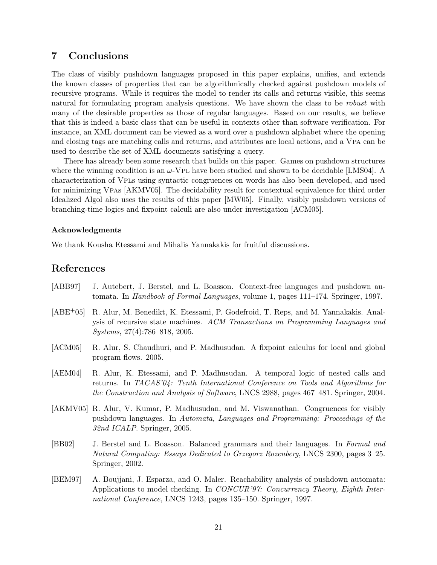# **7 Conclusions**

The class of visibly pushdown languages proposed in this paper explains, unifies, and extends the known classes of properties that can be algorithmically checked against pushdown models of recursive programs. While it requires the model to render its calls and returns visible, this seems natural for formulating program analysis questions. We have shown the class to be *robust* with many of the desirable properties as those of regular languages. Based on our results, we believe that this is indeed a basic class that can be useful in contexts other than software verification. For instance, an XML document can be viewed as a word over a pushdown alphabet where the opening and closing tags are matching calls and returns, and attributes are local actions, and a Vpa can be used to describe the set of XML documents satisfying a query.

There has already been some research that builds on this paper. Games on pushdown structures where the winning condition is an  $\omega$ -VPL have been studied and shown to be decidable [LMS04]. A characterization of Vpls using syntactic congruences on words has also been developed, and used for minimizing Vpas [AKMV05]. The decidability result for contextual equivalence for third order Idealized Algol also uses the results of this paper [MW05]. Finally, visibly pushdown versions of branching-time logics and fixpoint calculi are also under investigation [ACM05].

#### **Acknowledgments**

We thank Kousha Etessami and Mihalis Yannakakis for fruitful discussions.

# **References**

- [ABB97] J. Autebert, J. Berstel, and L. Boasson. Context-free languages and pushdown automata. In *Handbook of Formal Languages*, volume 1, pages 111–174. Springer, 1997.
- [ABE+05] R. Alur, M. Benedikt, K. Etessami, P. Godefroid, T. Reps, and M. Yannakakis. Analysis of recursive state machines. *ACM Transactions on Programming Languages and Systems*, 27(4):786–818, 2005.
- [ACM05] R. Alur, S. Chaudhuri, and P. Madhusudan. A fixpoint calculus for local and global program flows. 2005.
- [AEM04] R. Alur, K. Etessami, and P. Madhusudan. A temporal logic of nested calls and returns. In *TACAS'04: Tenth International Conference on Tools and Algorithms for the Construction and Analysis of Software*, LNCS 2988, pages 467–481. Springer, 2004.
- [AKMV05] R. Alur, V. Kumar, P. Madhusudan, and M. Viswanathan. Congruences for visibly pushdown languages. In *Automata, Languages and Programming: Proceedings of the 32nd ICALP*. Springer, 2005.
- [BB02] J. Berstel and L. Boasson. Balanced grammars and their languages. In *Formal and Natural Computing: Essays Dedicated to Grzegorz Rozenberg*, LNCS 2300, pages 3–25. Springer, 2002.
- [BEM97] A. Boujjani, J. Esparza, and O. Maler. Reachability analysis of pushdown automata: Applications to model checking. In *CONCUR'97: Concurrency Theory, Eighth International Conference*, LNCS 1243, pages 135–150. Springer, 1997.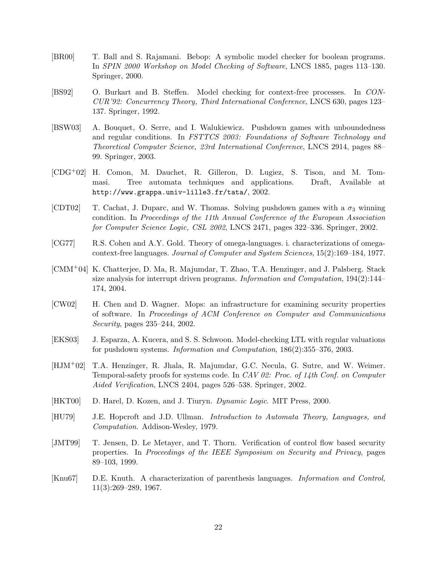- [BR00] T. Ball and S. Rajamani. Bebop: A symbolic model checker for boolean programs. In *SPIN 2000 Workshop on Model Checking of Software*, LNCS 1885, pages 113–130. Springer, 2000.
- [BS92] O. Burkart and B. Steffen. Model checking for context-free processes. In *CON-CUR'92: Concurrency Theory, Third International Conference*, LNCS 630, pages 123– 137. Springer, 1992.
- [BSW03] A. Bouquet, O. Serre, and I. Walukiewicz. Pushdown games with unboundedness and regular conditions. In *FSTTCS 2003: Foundations of Software Technology and Theoretical Computer Science, 23rd International Conference*, LNCS 2914, pages 88– 99. Springer, 2003.
- [CDG+02] H. Comon, M. Dauchet, R. Gilleron, D. Lugiez, S. Tison, and M. Tommasi. Tree automata techniques and applications. Draft, Available at http://www.grappa.univ-lille3.fr/tata/, 2002.
- [CDT02] T. Cachat, J. Duparc, and W. Thomas. Solving pushdown games with a  $\sigma_3$  winning condition. In *Proceedings of the 11th Annual Conference of the European Association for Computer Science Logic, CSL 2002*, LNCS 2471, pages 322–336. Springer, 2002.
- [CG77] R.S. Cohen and A.Y. Gold. Theory of omega-languages. i. characterizations of omegacontext-free languages. *Journal of Computer and System Sciences*, 15(2):169–184, 1977.
- [CMM+04] K. Chatterjee, D. Ma, R. Majumdar, T. Zhao, T.A. Henzinger, and J. Palsberg. Stack size analysis for interrupt driven programs. *Information and Computation*, 194(2):144– 174, 2004.
- [CW02] H. Chen and D. Wagner. Mops: an infrastructure for examining security properties of software. In *Proceedings of ACM Conference on Computer and Communications Security*, pages 235–244, 2002.
- [EKS03] J. Esparza, A. Kucera, and S. S. Schwoon. Model-checking LTL with regular valuations for pushdown systems. *Information and Computation*, 186(2):355–376, 2003.
- [HJM+02] T.A. Henzinger, R. Jhala, R. Majumdar, G.C. Necula, G. Sutre, and W. Weimer. Temporal-safety proofs for systems code. In *CAV 02: Proc. of 14th Conf. on Computer Aided Verification*, LNCS 2404, pages 526–538. Springer, 2002.
- [HKT00] D. Harel, D. Kozen, and J. Tiuryn. *Dynamic Logic*. MIT Press, 2000.
- [HU79] J.E. Hopcroft and J.D. Ullman. *Introduction to Automata Theory, Languages, and Computation*. Addison-Wesley, 1979.
- [JMT99] T. Jensen, D. Le Metayer, and T. Thorn. Verification of control flow based security properties. In *Proceedings of the IEEE Symposium on Security and Privacy*, pages 89–103, 1999.
- [Knu67] D.E. Knuth. A characterization of parenthesis languages. *Information and Control*, 11(3):269–289, 1967.